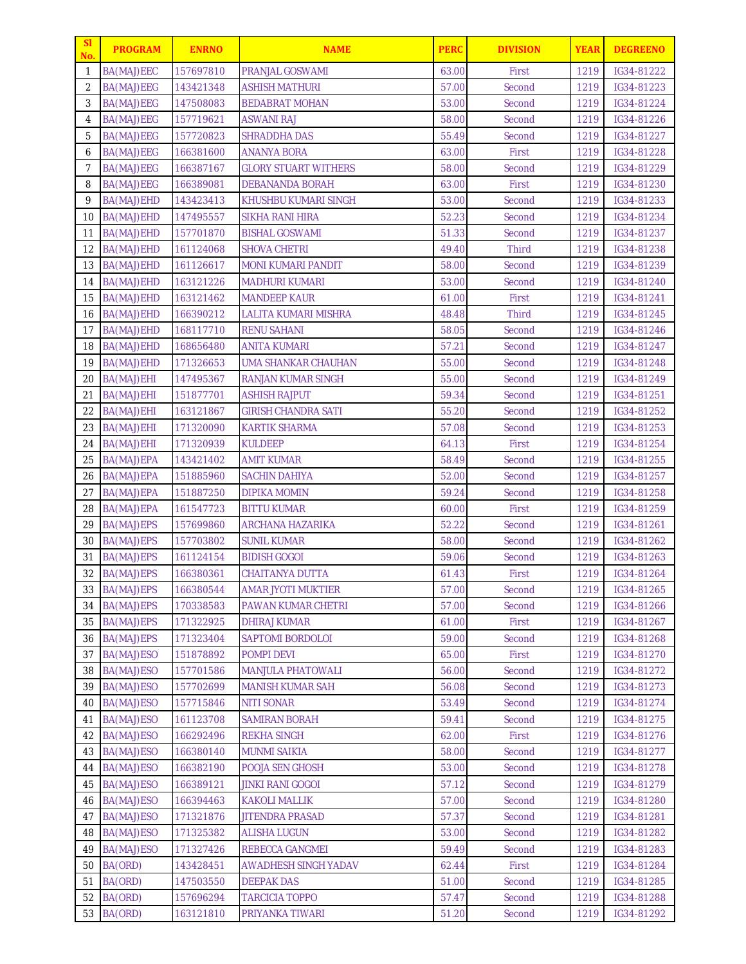| 157697810<br><b>PRANJAL GOSWAMI</b><br>63.00<br>1219<br>IG34-81222<br>$\mathbf{1}$<br>BA(MAJ)EEC<br>First<br>$\overline{2}$<br>57.00<br>Second<br>BA(MAJ)EEG<br>143421348<br>ASHISH MATHURI<br>1219<br>IG34-81223<br>3<br>IG34-81224<br>BA(MAJ)EEG<br>147508083<br><b>BEDABRAT MOHAN</b><br>53.00<br>Second<br>1219<br>58.00<br>Second<br>1219<br>4<br>BA(MAJ)EEG<br>157719621<br>ASWANI RAJ<br>IG34-81226<br>5<br>55.49<br>1219<br>BA(MAJ)EEG<br>157720823<br><b>SHRADDHA DAS</b><br>Second<br>IG34-81227<br>BA(MAJ)EEG<br>166381600<br><b>ANANYA BORA</b><br>63.00<br>First<br>1219<br>IG34-81228<br>6<br>$\overline{7}$<br>BA(MAJ)EEG<br>166387167<br><b>GLORY STUART WITHERS</b><br>58.00<br>Second<br>1219<br>IG34-81229<br>8<br><b>BA(MAJ)EEG</b><br>166389081<br><b>DEBANANDA BORAH</b><br>63.00<br>First<br>1219<br>IG34-81230<br>9<br>BA(MAJ)EHD<br>53.00<br>1219<br>143423413<br>KHUSHBU KUMARI SINGH<br>Second<br>IG34-81233<br><b>SIKHA RANI HIRA</b><br>52.23<br>Second<br>10<br>BA(MAJ)EHD<br>147495557<br>1219<br>IG34-81234<br>51.33<br>Second<br>11<br>BA(MAJ)EHD<br>157701870<br><b>BISHAL GOSWAMI</b><br>1219<br>IG34-81237<br>12<br>BA(MAJ)EHD<br>161124068<br><b>SHOVA CHETRI</b><br>49.40<br><b>Third</b><br>1219<br>IG34-81238<br>13<br>Second<br>1219<br>IG34-81239<br>BA(MAJ)EHD<br>161126617<br><b>MONI KUMARI PANDIT</b><br>58.00<br>BA(MAJ)EHD<br><b>MADHURI KUMARI</b><br>53.00<br>1219<br>IG34-81240<br>14<br>163121226<br>Second<br>15<br>BA(MAJ)EHD<br><b>MANDEEP KAUR</b><br>61.00<br>First<br>1219<br>163121462<br>IG34-81241<br>48.48<br><b>Third</b><br>1219<br>16<br>BA(MAJ)EHD<br>166390212<br>LALITA KUMARI MISHRA<br>IG34-81245<br>17<br>BA(MAJ)EHD<br>168117710<br><b>RENU SAHANI</b><br>58.05<br>Second<br>1219<br>IG34-81246<br>57.21<br>1219<br>IG34-81247<br>18<br>BA(MAJ)EHD<br>168656480<br><b>ANITA KUMARI</b><br>Second<br>19<br>BA(MAJ)EHD<br>55.00<br>Second<br>IG34-81248<br>171326653<br>UMA SHANKAR CHAUHAN<br>1219<br>55.00<br>1219<br>20<br>BA(MAJ)EHI<br>147495367<br><b>RANJAN KUMAR SINGH</b><br>Second<br>IG34-81249<br>59.34<br>21<br>BA(MAJ)EHI<br>151877701<br><b>ASHISH RAJPUT</b><br>Second<br>1219<br>IG34-81251<br>22<br>163121867<br><b>GIRISH CHANDRA SATI</b><br>55.20<br>Second<br>1219<br>IG34-81252<br>BA(MAJ)EHI<br>23<br>BA(MAJ)EHI<br><b>KARTIK SHARMA</b><br>57.08<br>1219<br>IG34-81253<br>171320090<br>Second<br>First<br>1219<br>24<br>BA(MAJ)EHI<br>171320939<br>KULDEEP<br>64.13<br>IG34-81254<br>58.49<br>1219<br>25<br>BA(MAJ)EPA<br>143421402<br>AMIT KUMAR<br>Second<br>IG34-81255<br>BA(MAJ)EPA<br>151885960<br><b>SACHIN DAHIYA</b><br>52.00<br>Second<br>1219<br>IG34-81257<br>26<br>27<br>59.24<br>1219<br>BA(MAJ)EPA<br>151887250<br><b>DIPIKA MOMIN</b><br>Second<br>IG34-81258<br>First<br>1219<br>IG34-81259<br>28<br>BA(MAJ)EPA<br>161547723<br><b>BITTU KUMAR</b><br>60.00<br>52.22<br>29<br>BA(MAJ)EPS<br>157699860<br><b>ARCHANA HAZARIKA</b><br>Second<br>1219<br>IG34-81261<br>IG34-81262<br>30<br>BA(MAJ)EPS<br>157703802<br><b>SUNIL KUMAR</b><br>58.00<br>Second<br>1219<br>31<br><b>BIDISH GOGOI</b><br>59.06<br>Second<br>1219<br>IG34-81263<br>BA(MAJ)EPS<br>161124154<br>BA(MAJ)EPS<br>32<br>61.43<br>1219<br>IG34-81264<br>166380361<br><b>CHAITANYA DUTTA</b><br>First<br>33<br>BA(MAJ)EPS<br>166380544<br><b>AMAR JYOTI MUKTIER</b><br>57.00<br>Second<br>1219<br>IG34-81265<br>34<br>BA(MAJ)EPS<br>170338583<br>57.00<br>1219<br>IG34-81266<br>PAWAN KUMAR CHETRI<br>Second<br>BA(MAJ)EPS<br>171322925<br>61.00<br>First<br>IG34-81267<br>35<br><b>DHIRAJ KUMAR</b><br>1219<br>36<br>BA(MAJ)EPS<br>171323404<br>SAPTOMI BORDOLOI<br>59.00<br>Second<br>1219<br>IG34-81268<br>37<br>BA(MAJ)ESO<br>151878892<br>POMPI DEVI<br>65.00<br>First<br>1219<br>IG34-81270<br>BA(MAJ)ESO<br>157701586<br><b>MANJULA PHATOWALI</b><br>56.00<br>Second<br>1219<br>IG34-81272<br>38<br>39<br>BA(MAJ)ESO<br>157702699<br>56.08<br>IG34-81273<br><b>MANISH KUMAR SAH</b><br>Second<br>1219<br>40<br>BA(MAJ)ESO<br>157715846<br><b>NITI SONAR</b><br>53.49<br>Second<br>1219<br>IG34-81274<br>59.41<br>41<br>BA(MAJ)ESO<br>161123708<br><b>SAMIRAN BORAH</b><br>Second<br>1219<br>IG34-81275<br>BA(MAJ)ESO<br><b>REKHA SINGH</b><br>62.00<br>1219<br>IG34-81276<br>42<br>166292496<br>First<br>43<br>BA(MAJ)ESO<br>166380140<br><b>MUNMI SAIKIA</b><br>58.00<br>Second<br>1219<br>IG34-81277<br>BA(MAJ)ESO<br>166382190<br>POOJA SEN GHOSH<br>53.00<br>IG34-81278<br>44<br>Second<br>1219<br>Second<br>45<br>BA(MAJ)ESO<br>166389121<br><b>JINKI RANI GOGOI</b><br>57.12<br>1219<br>IG34-81279<br>BA(MAJ)ESO<br>46<br>166394463<br><b>KAKOLI MALLIK</b><br>57.00<br>Second<br>1219<br>IG34-81280<br>BA(MAJ)ESO<br>171321876<br><b>JITENDRA PRASAD</b><br>57.37<br>IG34-81281<br>47<br>Second<br>1219<br>BA(MAJ)ESO<br>171325382<br><b>ALISHA LUGUN</b><br>53.00<br>48<br>Second<br>1219<br>IG34-81282<br>49<br>BA(MAJ)ESO<br>171327426<br><b>REBECCA GANGMEI</b><br>59.49<br>IG34-81283<br>Second<br>1219<br>BA(ORD)<br>62.44<br>1219<br>50<br>143428451<br><b>AWADHESH SINGH YADAV</b><br>First<br>IG34-81284<br>BA(ORD)<br>147503550<br><b>DEEPAK DAS</b><br>51.00<br>Second<br>IG34-81285<br>51<br>1219<br>BA(ORD)<br>52<br>157696294<br><b>TARCICIA TOPPO</b><br>57.47<br>Second<br>1219<br>IG34-81288<br>BA(ORD)<br>1219 | <sub>SI</sub><br>No. | <b>PROGRAM</b> | <b>ENRNO</b> | <b>NAME</b>     | <b>PERC</b> | <b>DIVISION</b> | <b>YEAR</b> | <b>DEGREENO</b> |
|------------------------------------------------------------------------------------------------------------------------------------------------------------------------------------------------------------------------------------------------------------------------------------------------------------------------------------------------------------------------------------------------------------------------------------------------------------------------------------------------------------------------------------------------------------------------------------------------------------------------------------------------------------------------------------------------------------------------------------------------------------------------------------------------------------------------------------------------------------------------------------------------------------------------------------------------------------------------------------------------------------------------------------------------------------------------------------------------------------------------------------------------------------------------------------------------------------------------------------------------------------------------------------------------------------------------------------------------------------------------------------------------------------------------------------------------------------------------------------------------------------------------------------------------------------------------------------------------------------------------------------------------------------------------------------------------------------------------------------------------------------------------------------------------------------------------------------------------------------------------------------------------------------------------------------------------------------------------------------------------------------------------------------------------------------------------------------------------------------------------------------------------------------------------------------------------------------------------------------------------------------------------------------------------------------------------------------------------------------------------------------------------------------------------------------------------------------------------------------------------------------------------------------------------------------------------------------------------------------------------------------------------------------------------------------------------------------------------------------------------------------------------------------------------------------------------------------------------------------------------------------------------------------------------------------------------------------------------------------------------------------------------------------------------------------------------------------------------------------------------------------------------------------------------------------------------------------------------------------------------------------------------------------------------------------------------------------------------------------------------------------------------------------------------------------------------------------------------------------------------------------------------------------------------------------------------------------------------------------------------------------------------------------------------------------------------------------------------------------------------------------------------------------------------------------------------------------------------------------------------------------------------------------------------------------------------------------------------------------------------------------------------------------------------------------------------------------------------------------------------------------------------------------------------------------------------------------------------------------------------------------------------------------------------------------------------------------------------------------------------------------------------------------------------------------------------------------------------------------------------------------------------------------------------------------------------------------------------------------------------------------------------------------------------------------------------------------------------------------------------------------------------------------------------------------------------------------------------------------------------------------------------------------------------------------------------------------------------------------------------------------------------------------------------------------------------------------------------------------------------------------------------------------------------------------------------------------------------------------------------------------------------------------------------------------------------------|----------------------|----------------|--------------|-----------------|-------------|-----------------|-------------|-----------------|
|                                                                                                                                                                                                                                                                                                                                                                                                                                                                                                                                                                                                                                                                                                                                                                                                                                                                                                                                                                                                                                                                                                                                                                                                                                                                                                                                                                                                                                                                                                                                                                                                                                                                                                                                                                                                                                                                                                                                                                                                                                                                                                                                                                                                                                                                                                                                                                                                                                                                                                                                                                                                                                                                                                                                                                                                                                                                                                                                                                                                                                                                                                                                                                                                                                                                                                                                                                                                                                                                                                                                                                                                                                                                                                                                                                                                                                                                                                                                                                                                                                                                                                                                                                                                                                                                                                                                                                                                                                                                                                                                                                                                                                                                                                                                                                                                                                                                                                                                                                                                                                                                                                                                                                                                                                                                                                                              |                      |                |              |                 |             |                 |             |                 |
|                                                                                                                                                                                                                                                                                                                                                                                                                                                                                                                                                                                                                                                                                                                                                                                                                                                                                                                                                                                                                                                                                                                                                                                                                                                                                                                                                                                                                                                                                                                                                                                                                                                                                                                                                                                                                                                                                                                                                                                                                                                                                                                                                                                                                                                                                                                                                                                                                                                                                                                                                                                                                                                                                                                                                                                                                                                                                                                                                                                                                                                                                                                                                                                                                                                                                                                                                                                                                                                                                                                                                                                                                                                                                                                                                                                                                                                                                                                                                                                                                                                                                                                                                                                                                                                                                                                                                                                                                                                                                                                                                                                                                                                                                                                                                                                                                                                                                                                                                                                                                                                                                                                                                                                                                                                                                                                              |                      |                |              |                 |             |                 |             |                 |
|                                                                                                                                                                                                                                                                                                                                                                                                                                                                                                                                                                                                                                                                                                                                                                                                                                                                                                                                                                                                                                                                                                                                                                                                                                                                                                                                                                                                                                                                                                                                                                                                                                                                                                                                                                                                                                                                                                                                                                                                                                                                                                                                                                                                                                                                                                                                                                                                                                                                                                                                                                                                                                                                                                                                                                                                                                                                                                                                                                                                                                                                                                                                                                                                                                                                                                                                                                                                                                                                                                                                                                                                                                                                                                                                                                                                                                                                                                                                                                                                                                                                                                                                                                                                                                                                                                                                                                                                                                                                                                                                                                                                                                                                                                                                                                                                                                                                                                                                                                                                                                                                                                                                                                                                                                                                                                                              |                      |                |              |                 |             |                 |             |                 |
|                                                                                                                                                                                                                                                                                                                                                                                                                                                                                                                                                                                                                                                                                                                                                                                                                                                                                                                                                                                                                                                                                                                                                                                                                                                                                                                                                                                                                                                                                                                                                                                                                                                                                                                                                                                                                                                                                                                                                                                                                                                                                                                                                                                                                                                                                                                                                                                                                                                                                                                                                                                                                                                                                                                                                                                                                                                                                                                                                                                                                                                                                                                                                                                                                                                                                                                                                                                                                                                                                                                                                                                                                                                                                                                                                                                                                                                                                                                                                                                                                                                                                                                                                                                                                                                                                                                                                                                                                                                                                                                                                                                                                                                                                                                                                                                                                                                                                                                                                                                                                                                                                                                                                                                                                                                                                                                              |                      |                |              |                 |             |                 |             |                 |
|                                                                                                                                                                                                                                                                                                                                                                                                                                                                                                                                                                                                                                                                                                                                                                                                                                                                                                                                                                                                                                                                                                                                                                                                                                                                                                                                                                                                                                                                                                                                                                                                                                                                                                                                                                                                                                                                                                                                                                                                                                                                                                                                                                                                                                                                                                                                                                                                                                                                                                                                                                                                                                                                                                                                                                                                                                                                                                                                                                                                                                                                                                                                                                                                                                                                                                                                                                                                                                                                                                                                                                                                                                                                                                                                                                                                                                                                                                                                                                                                                                                                                                                                                                                                                                                                                                                                                                                                                                                                                                                                                                                                                                                                                                                                                                                                                                                                                                                                                                                                                                                                                                                                                                                                                                                                                                                              |                      |                |              |                 |             |                 |             |                 |
|                                                                                                                                                                                                                                                                                                                                                                                                                                                                                                                                                                                                                                                                                                                                                                                                                                                                                                                                                                                                                                                                                                                                                                                                                                                                                                                                                                                                                                                                                                                                                                                                                                                                                                                                                                                                                                                                                                                                                                                                                                                                                                                                                                                                                                                                                                                                                                                                                                                                                                                                                                                                                                                                                                                                                                                                                                                                                                                                                                                                                                                                                                                                                                                                                                                                                                                                                                                                                                                                                                                                                                                                                                                                                                                                                                                                                                                                                                                                                                                                                                                                                                                                                                                                                                                                                                                                                                                                                                                                                                                                                                                                                                                                                                                                                                                                                                                                                                                                                                                                                                                                                                                                                                                                                                                                                                                              |                      |                |              |                 |             |                 |             |                 |
|                                                                                                                                                                                                                                                                                                                                                                                                                                                                                                                                                                                                                                                                                                                                                                                                                                                                                                                                                                                                                                                                                                                                                                                                                                                                                                                                                                                                                                                                                                                                                                                                                                                                                                                                                                                                                                                                                                                                                                                                                                                                                                                                                                                                                                                                                                                                                                                                                                                                                                                                                                                                                                                                                                                                                                                                                                                                                                                                                                                                                                                                                                                                                                                                                                                                                                                                                                                                                                                                                                                                                                                                                                                                                                                                                                                                                                                                                                                                                                                                                                                                                                                                                                                                                                                                                                                                                                                                                                                                                                                                                                                                                                                                                                                                                                                                                                                                                                                                                                                                                                                                                                                                                                                                                                                                                                                              |                      |                |              |                 |             |                 |             |                 |
|                                                                                                                                                                                                                                                                                                                                                                                                                                                                                                                                                                                                                                                                                                                                                                                                                                                                                                                                                                                                                                                                                                                                                                                                                                                                                                                                                                                                                                                                                                                                                                                                                                                                                                                                                                                                                                                                                                                                                                                                                                                                                                                                                                                                                                                                                                                                                                                                                                                                                                                                                                                                                                                                                                                                                                                                                                                                                                                                                                                                                                                                                                                                                                                                                                                                                                                                                                                                                                                                                                                                                                                                                                                                                                                                                                                                                                                                                                                                                                                                                                                                                                                                                                                                                                                                                                                                                                                                                                                                                                                                                                                                                                                                                                                                                                                                                                                                                                                                                                                                                                                                                                                                                                                                                                                                                                                              |                      |                |              |                 |             |                 |             |                 |
|                                                                                                                                                                                                                                                                                                                                                                                                                                                                                                                                                                                                                                                                                                                                                                                                                                                                                                                                                                                                                                                                                                                                                                                                                                                                                                                                                                                                                                                                                                                                                                                                                                                                                                                                                                                                                                                                                                                                                                                                                                                                                                                                                                                                                                                                                                                                                                                                                                                                                                                                                                                                                                                                                                                                                                                                                                                                                                                                                                                                                                                                                                                                                                                                                                                                                                                                                                                                                                                                                                                                                                                                                                                                                                                                                                                                                                                                                                                                                                                                                                                                                                                                                                                                                                                                                                                                                                                                                                                                                                                                                                                                                                                                                                                                                                                                                                                                                                                                                                                                                                                                                                                                                                                                                                                                                                                              |                      |                |              |                 |             |                 |             |                 |
|                                                                                                                                                                                                                                                                                                                                                                                                                                                                                                                                                                                                                                                                                                                                                                                                                                                                                                                                                                                                                                                                                                                                                                                                                                                                                                                                                                                                                                                                                                                                                                                                                                                                                                                                                                                                                                                                                                                                                                                                                                                                                                                                                                                                                                                                                                                                                                                                                                                                                                                                                                                                                                                                                                                                                                                                                                                                                                                                                                                                                                                                                                                                                                                                                                                                                                                                                                                                                                                                                                                                                                                                                                                                                                                                                                                                                                                                                                                                                                                                                                                                                                                                                                                                                                                                                                                                                                                                                                                                                                                                                                                                                                                                                                                                                                                                                                                                                                                                                                                                                                                                                                                                                                                                                                                                                                                              |                      |                |              |                 |             |                 |             |                 |
|                                                                                                                                                                                                                                                                                                                                                                                                                                                                                                                                                                                                                                                                                                                                                                                                                                                                                                                                                                                                                                                                                                                                                                                                                                                                                                                                                                                                                                                                                                                                                                                                                                                                                                                                                                                                                                                                                                                                                                                                                                                                                                                                                                                                                                                                                                                                                                                                                                                                                                                                                                                                                                                                                                                                                                                                                                                                                                                                                                                                                                                                                                                                                                                                                                                                                                                                                                                                                                                                                                                                                                                                                                                                                                                                                                                                                                                                                                                                                                                                                                                                                                                                                                                                                                                                                                                                                                                                                                                                                                                                                                                                                                                                                                                                                                                                                                                                                                                                                                                                                                                                                                                                                                                                                                                                                                                              |                      |                |              |                 |             |                 |             |                 |
|                                                                                                                                                                                                                                                                                                                                                                                                                                                                                                                                                                                                                                                                                                                                                                                                                                                                                                                                                                                                                                                                                                                                                                                                                                                                                                                                                                                                                                                                                                                                                                                                                                                                                                                                                                                                                                                                                                                                                                                                                                                                                                                                                                                                                                                                                                                                                                                                                                                                                                                                                                                                                                                                                                                                                                                                                                                                                                                                                                                                                                                                                                                                                                                                                                                                                                                                                                                                                                                                                                                                                                                                                                                                                                                                                                                                                                                                                                                                                                                                                                                                                                                                                                                                                                                                                                                                                                                                                                                                                                                                                                                                                                                                                                                                                                                                                                                                                                                                                                                                                                                                                                                                                                                                                                                                                                                              |                      |                |              |                 |             |                 |             |                 |
|                                                                                                                                                                                                                                                                                                                                                                                                                                                                                                                                                                                                                                                                                                                                                                                                                                                                                                                                                                                                                                                                                                                                                                                                                                                                                                                                                                                                                                                                                                                                                                                                                                                                                                                                                                                                                                                                                                                                                                                                                                                                                                                                                                                                                                                                                                                                                                                                                                                                                                                                                                                                                                                                                                                                                                                                                                                                                                                                                                                                                                                                                                                                                                                                                                                                                                                                                                                                                                                                                                                                                                                                                                                                                                                                                                                                                                                                                                                                                                                                                                                                                                                                                                                                                                                                                                                                                                                                                                                                                                                                                                                                                                                                                                                                                                                                                                                                                                                                                                                                                                                                                                                                                                                                                                                                                                                              |                      |                |              |                 |             |                 |             |                 |
|                                                                                                                                                                                                                                                                                                                                                                                                                                                                                                                                                                                                                                                                                                                                                                                                                                                                                                                                                                                                                                                                                                                                                                                                                                                                                                                                                                                                                                                                                                                                                                                                                                                                                                                                                                                                                                                                                                                                                                                                                                                                                                                                                                                                                                                                                                                                                                                                                                                                                                                                                                                                                                                                                                                                                                                                                                                                                                                                                                                                                                                                                                                                                                                                                                                                                                                                                                                                                                                                                                                                                                                                                                                                                                                                                                                                                                                                                                                                                                                                                                                                                                                                                                                                                                                                                                                                                                                                                                                                                                                                                                                                                                                                                                                                                                                                                                                                                                                                                                                                                                                                                                                                                                                                                                                                                                                              |                      |                |              |                 |             |                 |             |                 |
|                                                                                                                                                                                                                                                                                                                                                                                                                                                                                                                                                                                                                                                                                                                                                                                                                                                                                                                                                                                                                                                                                                                                                                                                                                                                                                                                                                                                                                                                                                                                                                                                                                                                                                                                                                                                                                                                                                                                                                                                                                                                                                                                                                                                                                                                                                                                                                                                                                                                                                                                                                                                                                                                                                                                                                                                                                                                                                                                                                                                                                                                                                                                                                                                                                                                                                                                                                                                                                                                                                                                                                                                                                                                                                                                                                                                                                                                                                                                                                                                                                                                                                                                                                                                                                                                                                                                                                                                                                                                                                                                                                                                                                                                                                                                                                                                                                                                                                                                                                                                                                                                                                                                                                                                                                                                                                                              |                      |                |              |                 |             |                 |             |                 |
|                                                                                                                                                                                                                                                                                                                                                                                                                                                                                                                                                                                                                                                                                                                                                                                                                                                                                                                                                                                                                                                                                                                                                                                                                                                                                                                                                                                                                                                                                                                                                                                                                                                                                                                                                                                                                                                                                                                                                                                                                                                                                                                                                                                                                                                                                                                                                                                                                                                                                                                                                                                                                                                                                                                                                                                                                                                                                                                                                                                                                                                                                                                                                                                                                                                                                                                                                                                                                                                                                                                                                                                                                                                                                                                                                                                                                                                                                                                                                                                                                                                                                                                                                                                                                                                                                                                                                                                                                                                                                                                                                                                                                                                                                                                                                                                                                                                                                                                                                                                                                                                                                                                                                                                                                                                                                                                              |                      |                |              |                 |             |                 |             |                 |
|                                                                                                                                                                                                                                                                                                                                                                                                                                                                                                                                                                                                                                                                                                                                                                                                                                                                                                                                                                                                                                                                                                                                                                                                                                                                                                                                                                                                                                                                                                                                                                                                                                                                                                                                                                                                                                                                                                                                                                                                                                                                                                                                                                                                                                                                                                                                                                                                                                                                                                                                                                                                                                                                                                                                                                                                                                                                                                                                                                                                                                                                                                                                                                                                                                                                                                                                                                                                                                                                                                                                                                                                                                                                                                                                                                                                                                                                                                                                                                                                                                                                                                                                                                                                                                                                                                                                                                                                                                                                                                                                                                                                                                                                                                                                                                                                                                                                                                                                                                                                                                                                                                                                                                                                                                                                                                                              |                      |                |              |                 |             |                 |             |                 |
|                                                                                                                                                                                                                                                                                                                                                                                                                                                                                                                                                                                                                                                                                                                                                                                                                                                                                                                                                                                                                                                                                                                                                                                                                                                                                                                                                                                                                                                                                                                                                                                                                                                                                                                                                                                                                                                                                                                                                                                                                                                                                                                                                                                                                                                                                                                                                                                                                                                                                                                                                                                                                                                                                                                                                                                                                                                                                                                                                                                                                                                                                                                                                                                                                                                                                                                                                                                                                                                                                                                                                                                                                                                                                                                                                                                                                                                                                                                                                                                                                                                                                                                                                                                                                                                                                                                                                                                                                                                                                                                                                                                                                                                                                                                                                                                                                                                                                                                                                                                                                                                                                                                                                                                                                                                                                                                              |                      |                |              |                 |             |                 |             |                 |
|                                                                                                                                                                                                                                                                                                                                                                                                                                                                                                                                                                                                                                                                                                                                                                                                                                                                                                                                                                                                                                                                                                                                                                                                                                                                                                                                                                                                                                                                                                                                                                                                                                                                                                                                                                                                                                                                                                                                                                                                                                                                                                                                                                                                                                                                                                                                                                                                                                                                                                                                                                                                                                                                                                                                                                                                                                                                                                                                                                                                                                                                                                                                                                                                                                                                                                                                                                                                                                                                                                                                                                                                                                                                                                                                                                                                                                                                                                                                                                                                                                                                                                                                                                                                                                                                                                                                                                                                                                                                                                                                                                                                                                                                                                                                                                                                                                                                                                                                                                                                                                                                                                                                                                                                                                                                                                                              |                      |                |              |                 |             |                 |             |                 |
|                                                                                                                                                                                                                                                                                                                                                                                                                                                                                                                                                                                                                                                                                                                                                                                                                                                                                                                                                                                                                                                                                                                                                                                                                                                                                                                                                                                                                                                                                                                                                                                                                                                                                                                                                                                                                                                                                                                                                                                                                                                                                                                                                                                                                                                                                                                                                                                                                                                                                                                                                                                                                                                                                                                                                                                                                                                                                                                                                                                                                                                                                                                                                                                                                                                                                                                                                                                                                                                                                                                                                                                                                                                                                                                                                                                                                                                                                                                                                                                                                                                                                                                                                                                                                                                                                                                                                                                                                                                                                                                                                                                                                                                                                                                                                                                                                                                                                                                                                                                                                                                                                                                                                                                                                                                                                                                              |                      |                |              |                 |             |                 |             |                 |
|                                                                                                                                                                                                                                                                                                                                                                                                                                                                                                                                                                                                                                                                                                                                                                                                                                                                                                                                                                                                                                                                                                                                                                                                                                                                                                                                                                                                                                                                                                                                                                                                                                                                                                                                                                                                                                                                                                                                                                                                                                                                                                                                                                                                                                                                                                                                                                                                                                                                                                                                                                                                                                                                                                                                                                                                                                                                                                                                                                                                                                                                                                                                                                                                                                                                                                                                                                                                                                                                                                                                                                                                                                                                                                                                                                                                                                                                                                                                                                                                                                                                                                                                                                                                                                                                                                                                                                                                                                                                                                                                                                                                                                                                                                                                                                                                                                                                                                                                                                                                                                                                                                                                                                                                                                                                                                                              |                      |                |              |                 |             |                 |             |                 |
|                                                                                                                                                                                                                                                                                                                                                                                                                                                                                                                                                                                                                                                                                                                                                                                                                                                                                                                                                                                                                                                                                                                                                                                                                                                                                                                                                                                                                                                                                                                                                                                                                                                                                                                                                                                                                                                                                                                                                                                                                                                                                                                                                                                                                                                                                                                                                                                                                                                                                                                                                                                                                                                                                                                                                                                                                                                                                                                                                                                                                                                                                                                                                                                                                                                                                                                                                                                                                                                                                                                                                                                                                                                                                                                                                                                                                                                                                                                                                                                                                                                                                                                                                                                                                                                                                                                                                                                                                                                                                                                                                                                                                                                                                                                                                                                                                                                                                                                                                                                                                                                                                                                                                                                                                                                                                                                              |                      |                |              |                 |             |                 |             |                 |
|                                                                                                                                                                                                                                                                                                                                                                                                                                                                                                                                                                                                                                                                                                                                                                                                                                                                                                                                                                                                                                                                                                                                                                                                                                                                                                                                                                                                                                                                                                                                                                                                                                                                                                                                                                                                                                                                                                                                                                                                                                                                                                                                                                                                                                                                                                                                                                                                                                                                                                                                                                                                                                                                                                                                                                                                                                                                                                                                                                                                                                                                                                                                                                                                                                                                                                                                                                                                                                                                                                                                                                                                                                                                                                                                                                                                                                                                                                                                                                                                                                                                                                                                                                                                                                                                                                                                                                                                                                                                                                                                                                                                                                                                                                                                                                                                                                                                                                                                                                                                                                                                                                                                                                                                                                                                                                                              |                      |                |              |                 |             |                 |             |                 |
|                                                                                                                                                                                                                                                                                                                                                                                                                                                                                                                                                                                                                                                                                                                                                                                                                                                                                                                                                                                                                                                                                                                                                                                                                                                                                                                                                                                                                                                                                                                                                                                                                                                                                                                                                                                                                                                                                                                                                                                                                                                                                                                                                                                                                                                                                                                                                                                                                                                                                                                                                                                                                                                                                                                                                                                                                                                                                                                                                                                                                                                                                                                                                                                                                                                                                                                                                                                                                                                                                                                                                                                                                                                                                                                                                                                                                                                                                                                                                                                                                                                                                                                                                                                                                                                                                                                                                                                                                                                                                                                                                                                                                                                                                                                                                                                                                                                                                                                                                                                                                                                                                                                                                                                                                                                                                                                              |                      |                |              |                 |             |                 |             |                 |
|                                                                                                                                                                                                                                                                                                                                                                                                                                                                                                                                                                                                                                                                                                                                                                                                                                                                                                                                                                                                                                                                                                                                                                                                                                                                                                                                                                                                                                                                                                                                                                                                                                                                                                                                                                                                                                                                                                                                                                                                                                                                                                                                                                                                                                                                                                                                                                                                                                                                                                                                                                                                                                                                                                                                                                                                                                                                                                                                                                                                                                                                                                                                                                                                                                                                                                                                                                                                                                                                                                                                                                                                                                                                                                                                                                                                                                                                                                                                                                                                                                                                                                                                                                                                                                                                                                                                                                                                                                                                                                                                                                                                                                                                                                                                                                                                                                                                                                                                                                                                                                                                                                                                                                                                                                                                                                                              |                      |                |              |                 |             |                 |             |                 |
|                                                                                                                                                                                                                                                                                                                                                                                                                                                                                                                                                                                                                                                                                                                                                                                                                                                                                                                                                                                                                                                                                                                                                                                                                                                                                                                                                                                                                                                                                                                                                                                                                                                                                                                                                                                                                                                                                                                                                                                                                                                                                                                                                                                                                                                                                                                                                                                                                                                                                                                                                                                                                                                                                                                                                                                                                                                                                                                                                                                                                                                                                                                                                                                                                                                                                                                                                                                                                                                                                                                                                                                                                                                                                                                                                                                                                                                                                                                                                                                                                                                                                                                                                                                                                                                                                                                                                                                                                                                                                                                                                                                                                                                                                                                                                                                                                                                                                                                                                                                                                                                                                                                                                                                                                                                                                                                              |                      |                |              |                 |             |                 |             |                 |
|                                                                                                                                                                                                                                                                                                                                                                                                                                                                                                                                                                                                                                                                                                                                                                                                                                                                                                                                                                                                                                                                                                                                                                                                                                                                                                                                                                                                                                                                                                                                                                                                                                                                                                                                                                                                                                                                                                                                                                                                                                                                                                                                                                                                                                                                                                                                                                                                                                                                                                                                                                                                                                                                                                                                                                                                                                                                                                                                                                                                                                                                                                                                                                                                                                                                                                                                                                                                                                                                                                                                                                                                                                                                                                                                                                                                                                                                                                                                                                                                                                                                                                                                                                                                                                                                                                                                                                                                                                                                                                                                                                                                                                                                                                                                                                                                                                                                                                                                                                                                                                                                                                                                                                                                                                                                                                                              |                      |                |              |                 |             |                 |             |                 |
|                                                                                                                                                                                                                                                                                                                                                                                                                                                                                                                                                                                                                                                                                                                                                                                                                                                                                                                                                                                                                                                                                                                                                                                                                                                                                                                                                                                                                                                                                                                                                                                                                                                                                                                                                                                                                                                                                                                                                                                                                                                                                                                                                                                                                                                                                                                                                                                                                                                                                                                                                                                                                                                                                                                                                                                                                                                                                                                                                                                                                                                                                                                                                                                                                                                                                                                                                                                                                                                                                                                                                                                                                                                                                                                                                                                                                                                                                                                                                                                                                                                                                                                                                                                                                                                                                                                                                                                                                                                                                                                                                                                                                                                                                                                                                                                                                                                                                                                                                                                                                                                                                                                                                                                                                                                                                                                              |                      |                |              |                 |             |                 |             |                 |
|                                                                                                                                                                                                                                                                                                                                                                                                                                                                                                                                                                                                                                                                                                                                                                                                                                                                                                                                                                                                                                                                                                                                                                                                                                                                                                                                                                                                                                                                                                                                                                                                                                                                                                                                                                                                                                                                                                                                                                                                                                                                                                                                                                                                                                                                                                                                                                                                                                                                                                                                                                                                                                                                                                                                                                                                                                                                                                                                                                                                                                                                                                                                                                                                                                                                                                                                                                                                                                                                                                                                                                                                                                                                                                                                                                                                                                                                                                                                                                                                                                                                                                                                                                                                                                                                                                                                                                                                                                                                                                                                                                                                                                                                                                                                                                                                                                                                                                                                                                                                                                                                                                                                                                                                                                                                                                                              |                      |                |              |                 |             |                 |             |                 |
|                                                                                                                                                                                                                                                                                                                                                                                                                                                                                                                                                                                                                                                                                                                                                                                                                                                                                                                                                                                                                                                                                                                                                                                                                                                                                                                                                                                                                                                                                                                                                                                                                                                                                                                                                                                                                                                                                                                                                                                                                                                                                                                                                                                                                                                                                                                                                                                                                                                                                                                                                                                                                                                                                                                                                                                                                                                                                                                                                                                                                                                                                                                                                                                                                                                                                                                                                                                                                                                                                                                                                                                                                                                                                                                                                                                                                                                                                                                                                                                                                                                                                                                                                                                                                                                                                                                                                                                                                                                                                                                                                                                                                                                                                                                                                                                                                                                                                                                                                                                                                                                                                                                                                                                                                                                                                                                              |                      |                |              |                 |             |                 |             |                 |
|                                                                                                                                                                                                                                                                                                                                                                                                                                                                                                                                                                                                                                                                                                                                                                                                                                                                                                                                                                                                                                                                                                                                                                                                                                                                                                                                                                                                                                                                                                                                                                                                                                                                                                                                                                                                                                                                                                                                                                                                                                                                                                                                                                                                                                                                                                                                                                                                                                                                                                                                                                                                                                                                                                                                                                                                                                                                                                                                                                                                                                                                                                                                                                                                                                                                                                                                                                                                                                                                                                                                                                                                                                                                                                                                                                                                                                                                                                                                                                                                                                                                                                                                                                                                                                                                                                                                                                                                                                                                                                                                                                                                                                                                                                                                                                                                                                                                                                                                                                                                                                                                                                                                                                                                                                                                                                                              |                      |                |              |                 |             |                 |             |                 |
|                                                                                                                                                                                                                                                                                                                                                                                                                                                                                                                                                                                                                                                                                                                                                                                                                                                                                                                                                                                                                                                                                                                                                                                                                                                                                                                                                                                                                                                                                                                                                                                                                                                                                                                                                                                                                                                                                                                                                                                                                                                                                                                                                                                                                                                                                                                                                                                                                                                                                                                                                                                                                                                                                                                                                                                                                                                                                                                                                                                                                                                                                                                                                                                                                                                                                                                                                                                                                                                                                                                                                                                                                                                                                                                                                                                                                                                                                                                                                                                                                                                                                                                                                                                                                                                                                                                                                                                                                                                                                                                                                                                                                                                                                                                                                                                                                                                                                                                                                                                                                                                                                                                                                                                                                                                                                                                              |                      |                |              |                 |             |                 |             |                 |
|                                                                                                                                                                                                                                                                                                                                                                                                                                                                                                                                                                                                                                                                                                                                                                                                                                                                                                                                                                                                                                                                                                                                                                                                                                                                                                                                                                                                                                                                                                                                                                                                                                                                                                                                                                                                                                                                                                                                                                                                                                                                                                                                                                                                                                                                                                                                                                                                                                                                                                                                                                                                                                                                                                                                                                                                                                                                                                                                                                                                                                                                                                                                                                                                                                                                                                                                                                                                                                                                                                                                                                                                                                                                                                                                                                                                                                                                                                                                                                                                                                                                                                                                                                                                                                                                                                                                                                                                                                                                                                                                                                                                                                                                                                                                                                                                                                                                                                                                                                                                                                                                                                                                                                                                                                                                                                                              |                      |                |              |                 |             |                 |             |                 |
|                                                                                                                                                                                                                                                                                                                                                                                                                                                                                                                                                                                                                                                                                                                                                                                                                                                                                                                                                                                                                                                                                                                                                                                                                                                                                                                                                                                                                                                                                                                                                                                                                                                                                                                                                                                                                                                                                                                                                                                                                                                                                                                                                                                                                                                                                                                                                                                                                                                                                                                                                                                                                                                                                                                                                                                                                                                                                                                                                                                                                                                                                                                                                                                                                                                                                                                                                                                                                                                                                                                                                                                                                                                                                                                                                                                                                                                                                                                                                                                                                                                                                                                                                                                                                                                                                                                                                                                                                                                                                                                                                                                                                                                                                                                                                                                                                                                                                                                                                                                                                                                                                                                                                                                                                                                                                                                              |                      |                |              |                 |             |                 |             |                 |
|                                                                                                                                                                                                                                                                                                                                                                                                                                                                                                                                                                                                                                                                                                                                                                                                                                                                                                                                                                                                                                                                                                                                                                                                                                                                                                                                                                                                                                                                                                                                                                                                                                                                                                                                                                                                                                                                                                                                                                                                                                                                                                                                                                                                                                                                                                                                                                                                                                                                                                                                                                                                                                                                                                                                                                                                                                                                                                                                                                                                                                                                                                                                                                                                                                                                                                                                                                                                                                                                                                                                                                                                                                                                                                                                                                                                                                                                                                                                                                                                                                                                                                                                                                                                                                                                                                                                                                                                                                                                                                                                                                                                                                                                                                                                                                                                                                                                                                                                                                                                                                                                                                                                                                                                                                                                                                                              |                      |                |              |                 |             |                 |             |                 |
|                                                                                                                                                                                                                                                                                                                                                                                                                                                                                                                                                                                                                                                                                                                                                                                                                                                                                                                                                                                                                                                                                                                                                                                                                                                                                                                                                                                                                                                                                                                                                                                                                                                                                                                                                                                                                                                                                                                                                                                                                                                                                                                                                                                                                                                                                                                                                                                                                                                                                                                                                                                                                                                                                                                                                                                                                                                                                                                                                                                                                                                                                                                                                                                                                                                                                                                                                                                                                                                                                                                                                                                                                                                                                                                                                                                                                                                                                                                                                                                                                                                                                                                                                                                                                                                                                                                                                                                                                                                                                                                                                                                                                                                                                                                                                                                                                                                                                                                                                                                                                                                                                                                                                                                                                                                                                                                              |                      |                |              |                 |             |                 |             |                 |
|                                                                                                                                                                                                                                                                                                                                                                                                                                                                                                                                                                                                                                                                                                                                                                                                                                                                                                                                                                                                                                                                                                                                                                                                                                                                                                                                                                                                                                                                                                                                                                                                                                                                                                                                                                                                                                                                                                                                                                                                                                                                                                                                                                                                                                                                                                                                                                                                                                                                                                                                                                                                                                                                                                                                                                                                                                                                                                                                                                                                                                                                                                                                                                                                                                                                                                                                                                                                                                                                                                                                                                                                                                                                                                                                                                                                                                                                                                                                                                                                                                                                                                                                                                                                                                                                                                                                                                                                                                                                                                                                                                                                                                                                                                                                                                                                                                                                                                                                                                                                                                                                                                                                                                                                                                                                                                                              |                      |                |              |                 |             |                 |             |                 |
|                                                                                                                                                                                                                                                                                                                                                                                                                                                                                                                                                                                                                                                                                                                                                                                                                                                                                                                                                                                                                                                                                                                                                                                                                                                                                                                                                                                                                                                                                                                                                                                                                                                                                                                                                                                                                                                                                                                                                                                                                                                                                                                                                                                                                                                                                                                                                                                                                                                                                                                                                                                                                                                                                                                                                                                                                                                                                                                                                                                                                                                                                                                                                                                                                                                                                                                                                                                                                                                                                                                                                                                                                                                                                                                                                                                                                                                                                                                                                                                                                                                                                                                                                                                                                                                                                                                                                                                                                                                                                                                                                                                                                                                                                                                                                                                                                                                                                                                                                                                                                                                                                                                                                                                                                                                                                                                              |                      |                |              |                 |             |                 |             |                 |
|                                                                                                                                                                                                                                                                                                                                                                                                                                                                                                                                                                                                                                                                                                                                                                                                                                                                                                                                                                                                                                                                                                                                                                                                                                                                                                                                                                                                                                                                                                                                                                                                                                                                                                                                                                                                                                                                                                                                                                                                                                                                                                                                                                                                                                                                                                                                                                                                                                                                                                                                                                                                                                                                                                                                                                                                                                                                                                                                                                                                                                                                                                                                                                                                                                                                                                                                                                                                                                                                                                                                                                                                                                                                                                                                                                                                                                                                                                                                                                                                                                                                                                                                                                                                                                                                                                                                                                                                                                                                                                                                                                                                                                                                                                                                                                                                                                                                                                                                                                                                                                                                                                                                                                                                                                                                                                                              |                      |                |              |                 |             |                 |             |                 |
|                                                                                                                                                                                                                                                                                                                                                                                                                                                                                                                                                                                                                                                                                                                                                                                                                                                                                                                                                                                                                                                                                                                                                                                                                                                                                                                                                                                                                                                                                                                                                                                                                                                                                                                                                                                                                                                                                                                                                                                                                                                                                                                                                                                                                                                                                                                                                                                                                                                                                                                                                                                                                                                                                                                                                                                                                                                                                                                                                                                                                                                                                                                                                                                                                                                                                                                                                                                                                                                                                                                                                                                                                                                                                                                                                                                                                                                                                                                                                                                                                                                                                                                                                                                                                                                                                                                                                                                                                                                                                                                                                                                                                                                                                                                                                                                                                                                                                                                                                                                                                                                                                                                                                                                                                                                                                                                              |                      |                |              |                 |             |                 |             |                 |
|                                                                                                                                                                                                                                                                                                                                                                                                                                                                                                                                                                                                                                                                                                                                                                                                                                                                                                                                                                                                                                                                                                                                                                                                                                                                                                                                                                                                                                                                                                                                                                                                                                                                                                                                                                                                                                                                                                                                                                                                                                                                                                                                                                                                                                                                                                                                                                                                                                                                                                                                                                                                                                                                                                                                                                                                                                                                                                                                                                                                                                                                                                                                                                                                                                                                                                                                                                                                                                                                                                                                                                                                                                                                                                                                                                                                                                                                                                                                                                                                                                                                                                                                                                                                                                                                                                                                                                                                                                                                                                                                                                                                                                                                                                                                                                                                                                                                                                                                                                                                                                                                                                                                                                                                                                                                                                                              |                      |                |              |                 |             |                 |             |                 |
|                                                                                                                                                                                                                                                                                                                                                                                                                                                                                                                                                                                                                                                                                                                                                                                                                                                                                                                                                                                                                                                                                                                                                                                                                                                                                                                                                                                                                                                                                                                                                                                                                                                                                                                                                                                                                                                                                                                                                                                                                                                                                                                                                                                                                                                                                                                                                                                                                                                                                                                                                                                                                                                                                                                                                                                                                                                                                                                                                                                                                                                                                                                                                                                                                                                                                                                                                                                                                                                                                                                                                                                                                                                                                                                                                                                                                                                                                                                                                                                                                                                                                                                                                                                                                                                                                                                                                                                                                                                                                                                                                                                                                                                                                                                                                                                                                                                                                                                                                                                                                                                                                                                                                                                                                                                                                                                              |                      |                |              |                 |             |                 |             |                 |
|                                                                                                                                                                                                                                                                                                                                                                                                                                                                                                                                                                                                                                                                                                                                                                                                                                                                                                                                                                                                                                                                                                                                                                                                                                                                                                                                                                                                                                                                                                                                                                                                                                                                                                                                                                                                                                                                                                                                                                                                                                                                                                                                                                                                                                                                                                                                                                                                                                                                                                                                                                                                                                                                                                                                                                                                                                                                                                                                                                                                                                                                                                                                                                                                                                                                                                                                                                                                                                                                                                                                                                                                                                                                                                                                                                                                                                                                                                                                                                                                                                                                                                                                                                                                                                                                                                                                                                                                                                                                                                                                                                                                                                                                                                                                                                                                                                                                                                                                                                                                                                                                                                                                                                                                                                                                                                                              |                      |                |              |                 |             |                 |             |                 |
|                                                                                                                                                                                                                                                                                                                                                                                                                                                                                                                                                                                                                                                                                                                                                                                                                                                                                                                                                                                                                                                                                                                                                                                                                                                                                                                                                                                                                                                                                                                                                                                                                                                                                                                                                                                                                                                                                                                                                                                                                                                                                                                                                                                                                                                                                                                                                                                                                                                                                                                                                                                                                                                                                                                                                                                                                                                                                                                                                                                                                                                                                                                                                                                                                                                                                                                                                                                                                                                                                                                                                                                                                                                                                                                                                                                                                                                                                                                                                                                                                                                                                                                                                                                                                                                                                                                                                                                                                                                                                                                                                                                                                                                                                                                                                                                                                                                                                                                                                                                                                                                                                                                                                                                                                                                                                                                              |                      |                |              |                 |             |                 |             |                 |
|                                                                                                                                                                                                                                                                                                                                                                                                                                                                                                                                                                                                                                                                                                                                                                                                                                                                                                                                                                                                                                                                                                                                                                                                                                                                                                                                                                                                                                                                                                                                                                                                                                                                                                                                                                                                                                                                                                                                                                                                                                                                                                                                                                                                                                                                                                                                                                                                                                                                                                                                                                                                                                                                                                                                                                                                                                                                                                                                                                                                                                                                                                                                                                                                                                                                                                                                                                                                                                                                                                                                                                                                                                                                                                                                                                                                                                                                                                                                                                                                                                                                                                                                                                                                                                                                                                                                                                                                                                                                                                                                                                                                                                                                                                                                                                                                                                                                                                                                                                                                                                                                                                                                                                                                                                                                                                                              |                      |                |              |                 |             |                 |             |                 |
|                                                                                                                                                                                                                                                                                                                                                                                                                                                                                                                                                                                                                                                                                                                                                                                                                                                                                                                                                                                                                                                                                                                                                                                                                                                                                                                                                                                                                                                                                                                                                                                                                                                                                                                                                                                                                                                                                                                                                                                                                                                                                                                                                                                                                                                                                                                                                                                                                                                                                                                                                                                                                                                                                                                                                                                                                                                                                                                                                                                                                                                                                                                                                                                                                                                                                                                                                                                                                                                                                                                                                                                                                                                                                                                                                                                                                                                                                                                                                                                                                                                                                                                                                                                                                                                                                                                                                                                                                                                                                                                                                                                                                                                                                                                                                                                                                                                                                                                                                                                                                                                                                                                                                                                                                                                                                                                              |                      |                |              |                 |             |                 |             |                 |
|                                                                                                                                                                                                                                                                                                                                                                                                                                                                                                                                                                                                                                                                                                                                                                                                                                                                                                                                                                                                                                                                                                                                                                                                                                                                                                                                                                                                                                                                                                                                                                                                                                                                                                                                                                                                                                                                                                                                                                                                                                                                                                                                                                                                                                                                                                                                                                                                                                                                                                                                                                                                                                                                                                                                                                                                                                                                                                                                                                                                                                                                                                                                                                                                                                                                                                                                                                                                                                                                                                                                                                                                                                                                                                                                                                                                                                                                                                                                                                                                                                                                                                                                                                                                                                                                                                                                                                                                                                                                                                                                                                                                                                                                                                                                                                                                                                                                                                                                                                                                                                                                                                                                                                                                                                                                                                                              |                      |                |              |                 |             |                 |             |                 |
|                                                                                                                                                                                                                                                                                                                                                                                                                                                                                                                                                                                                                                                                                                                                                                                                                                                                                                                                                                                                                                                                                                                                                                                                                                                                                                                                                                                                                                                                                                                                                                                                                                                                                                                                                                                                                                                                                                                                                                                                                                                                                                                                                                                                                                                                                                                                                                                                                                                                                                                                                                                                                                                                                                                                                                                                                                                                                                                                                                                                                                                                                                                                                                                                                                                                                                                                                                                                                                                                                                                                                                                                                                                                                                                                                                                                                                                                                                                                                                                                                                                                                                                                                                                                                                                                                                                                                                                                                                                                                                                                                                                                                                                                                                                                                                                                                                                                                                                                                                                                                                                                                                                                                                                                                                                                                                                              |                      |                |              |                 |             |                 |             |                 |
|                                                                                                                                                                                                                                                                                                                                                                                                                                                                                                                                                                                                                                                                                                                                                                                                                                                                                                                                                                                                                                                                                                                                                                                                                                                                                                                                                                                                                                                                                                                                                                                                                                                                                                                                                                                                                                                                                                                                                                                                                                                                                                                                                                                                                                                                                                                                                                                                                                                                                                                                                                                                                                                                                                                                                                                                                                                                                                                                                                                                                                                                                                                                                                                                                                                                                                                                                                                                                                                                                                                                                                                                                                                                                                                                                                                                                                                                                                                                                                                                                                                                                                                                                                                                                                                                                                                                                                                                                                                                                                                                                                                                                                                                                                                                                                                                                                                                                                                                                                                                                                                                                                                                                                                                                                                                                                                              |                      |                |              |                 |             |                 |             |                 |
|                                                                                                                                                                                                                                                                                                                                                                                                                                                                                                                                                                                                                                                                                                                                                                                                                                                                                                                                                                                                                                                                                                                                                                                                                                                                                                                                                                                                                                                                                                                                                                                                                                                                                                                                                                                                                                                                                                                                                                                                                                                                                                                                                                                                                                                                                                                                                                                                                                                                                                                                                                                                                                                                                                                                                                                                                                                                                                                                                                                                                                                                                                                                                                                                                                                                                                                                                                                                                                                                                                                                                                                                                                                                                                                                                                                                                                                                                                                                                                                                                                                                                                                                                                                                                                                                                                                                                                                                                                                                                                                                                                                                                                                                                                                                                                                                                                                                                                                                                                                                                                                                                                                                                                                                                                                                                                                              |                      |                |              |                 |             |                 |             |                 |
|                                                                                                                                                                                                                                                                                                                                                                                                                                                                                                                                                                                                                                                                                                                                                                                                                                                                                                                                                                                                                                                                                                                                                                                                                                                                                                                                                                                                                                                                                                                                                                                                                                                                                                                                                                                                                                                                                                                                                                                                                                                                                                                                                                                                                                                                                                                                                                                                                                                                                                                                                                                                                                                                                                                                                                                                                                                                                                                                                                                                                                                                                                                                                                                                                                                                                                                                                                                                                                                                                                                                                                                                                                                                                                                                                                                                                                                                                                                                                                                                                                                                                                                                                                                                                                                                                                                                                                                                                                                                                                                                                                                                                                                                                                                                                                                                                                                                                                                                                                                                                                                                                                                                                                                                                                                                                                                              |                      |                |              |                 |             |                 |             |                 |
|                                                                                                                                                                                                                                                                                                                                                                                                                                                                                                                                                                                                                                                                                                                                                                                                                                                                                                                                                                                                                                                                                                                                                                                                                                                                                                                                                                                                                                                                                                                                                                                                                                                                                                                                                                                                                                                                                                                                                                                                                                                                                                                                                                                                                                                                                                                                                                                                                                                                                                                                                                                                                                                                                                                                                                                                                                                                                                                                                                                                                                                                                                                                                                                                                                                                                                                                                                                                                                                                                                                                                                                                                                                                                                                                                                                                                                                                                                                                                                                                                                                                                                                                                                                                                                                                                                                                                                                                                                                                                                                                                                                                                                                                                                                                                                                                                                                                                                                                                                                                                                                                                                                                                                                                                                                                                                                              |                      |                |              |                 |             |                 |             |                 |
|                                                                                                                                                                                                                                                                                                                                                                                                                                                                                                                                                                                                                                                                                                                                                                                                                                                                                                                                                                                                                                                                                                                                                                                                                                                                                                                                                                                                                                                                                                                                                                                                                                                                                                                                                                                                                                                                                                                                                                                                                                                                                                                                                                                                                                                                                                                                                                                                                                                                                                                                                                                                                                                                                                                                                                                                                                                                                                                                                                                                                                                                                                                                                                                                                                                                                                                                                                                                                                                                                                                                                                                                                                                                                                                                                                                                                                                                                                                                                                                                                                                                                                                                                                                                                                                                                                                                                                                                                                                                                                                                                                                                                                                                                                                                                                                                                                                                                                                                                                                                                                                                                                                                                                                                                                                                                                                              | 53                   |                | 163121810    | PRIYANKA TIWARI | 51.20       | Second          |             | IG34-81292      |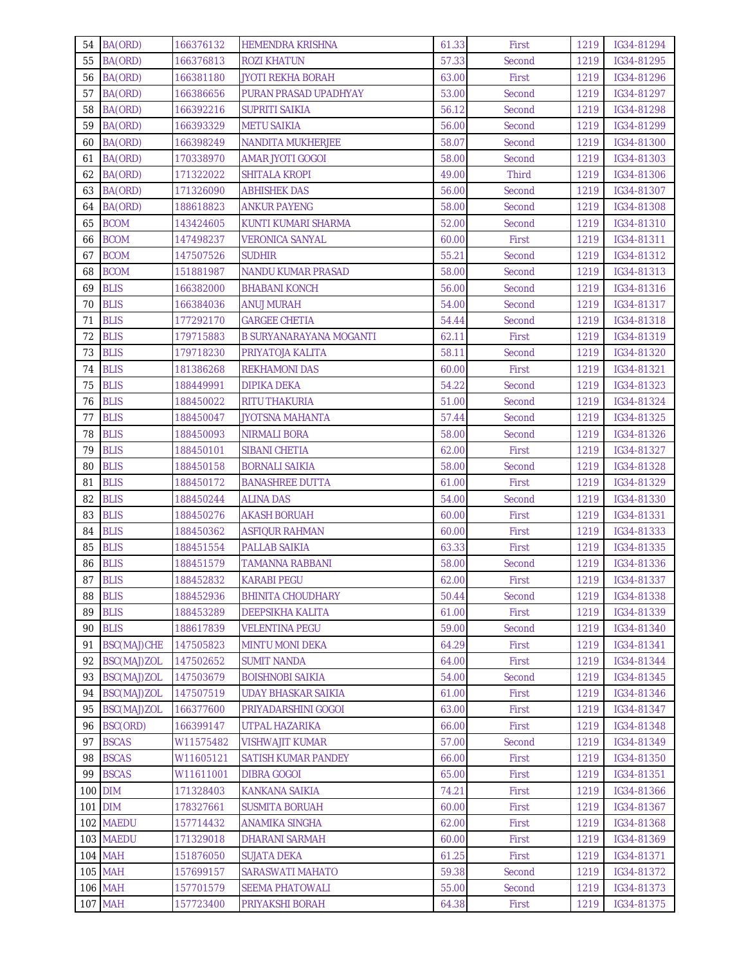| 54<br>BA(ORD)      | 166376132 | <b>HEMENDRA KRISHNA</b>    | 61.33 | First        | 1219 | IG34-81294 |
|--------------------|-----------|----------------------------|-------|--------------|------|------------|
| 55<br>BA(ORD)      | 166376813 | ROZI KHATUN                | 57.33 | Second       | 1219 | IG34-81295 |
| BA(ORD)<br>56      | 166381180 | JYOTI REKHA BORAH          | 63.00 | First        | 1219 | IG34-81296 |
| 57<br>BA(ORD)      | 166386656 | PURAN PRASAD UPADHYAY      | 53.00 | Second       | 1219 | IG34-81297 |
| 58<br>BA(ORD)      | 166392216 | SUPRITI SAIKIA             | 56.12 | Second       | 1219 | IG34-81298 |
| 59<br>BA(ORD)      | 166393329 | <b>METU SAIKIA</b>         | 56.00 | Second       | 1219 | IG34-81299 |
| BA(ORD)<br>60      | 166398249 | <b>NANDITA MUKHERJEE</b>   | 58.07 | Second       | 1219 | IG34-81300 |
| BA(ORD)<br>61      | 170338970 | <b>AMAR JYOTI GOGOI</b>    | 58.00 | Second       | 1219 | IG34-81303 |
| BA(ORD)<br>62      | 171322022 | SHITALA KROPI              | 49.00 | <b>Third</b> | 1219 | IG34-81306 |
| 63<br>BA(ORD)      | 171326090 | <b>ABHISHEK DAS</b>        | 56.00 | Second       | 1219 | IG34-81307 |
| BA(ORD)<br>64      | 188618823 | ANKUR PAYENG               | 58.00 | Second       | 1219 | IG34-81308 |
| <b>BCOM</b><br>65  | 143424605 | KUNTI KUMARI SHARMA        | 52.00 | Second       | 1219 | IG34-81310 |
| <b>BCOM</b><br>66  | 147498237 | VERONICA SANYAL            | 60.00 | First        | 1219 | IG34-81311 |
| <b>BCOM</b><br>67  | 147507526 | SUDHIR                     | 55.21 | Second       | 1219 | IG34-81312 |
| <b>BCOM</b><br>68  | 151881987 | <b>NANDU KUMAR PRASAD</b>  | 58.00 | Second       | 1219 | IG34-81313 |
| 69<br><b>BLIS</b>  | 166382000 | <b>BHABANI KONCH</b>       | 56.00 | Second       | 1219 | IG34-81316 |
| <b>BLIS</b><br>70  | 166384036 | ANUJ MURAH                 | 54.00 | Second       | 1219 | IG34-81317 |
| <b>BLIS</b><br>71  | 177292170 | <b>GARGEE CHETIA</b>       | 54.44 | Second       | 1219 | IG34-81318 |
| <b>BLIS</b><br>72  | 179715883 | B SURYANARAYANA MOGANTI    | 62.11 | First        | 1219 | IG34-81319 |
| 73<br><b>BLIS</b>  | 179718230 | PRIYATOJA KALITA           | 58.11 | Second       | 1219 | IG34-81320 |
| <b>BLIS</b><br>74  | 181386268 | <b>REKHAMONI DAS</b>       | 60.00 | First        | 1219 | IG34-81321 |
| 75<br><b>BLIS</b>  | 188449991 | DIPIKA DEKA                | 54.22 | Second       | 1219 | IG34-81323 |
| 76<br><b>BLIS</b>  | 188450022 | RITU THAKURIA              | 51.00 | Second       | 1219 | IG34-81324 |
| 77<br><b>BLIS</b>  | 188450047 | JYOTSNA MAHANTA            | 57.44 | Second       | 1219 | IG34-81325 |
| 78<br><b>BLIS</b>  | 188450093 | <b>NIRMALI BORA</b>        | 58.00 | Second       | 1219 | IG34-81326 |
| <b>BLIS</b><br>79  | 188450101 | <b>SIBANI CHETIA</b>       | 62.00 | First        | 1219 | IG34-81327 |
| 80<br><b>BLIS</b>  | 188450158 | <b>BORNALI SAIKIA</b>      | 58.00 | Second       | 1219 | IG34-81328 |
| <b>BLIS</b><br>81  | 188450172 | <b>BANASHREE DUTTA</b>     | 61.00 | First        | 1219 | IG34-81329 |
| 82<br><b>BLIS</b>  | 188450244 | <b>ALINA DAS</b>           | 54.00 | Second       | 1219 | IG34-81330 |
| <b>BLIS</b><br>83  | 188450276 | AKASH BORUAH               | 60.00 | First        | 1219 | IG34-81331 |
| <b>BLIS</b><br>84  | 188450362 | <b>ASFIQUR RAHMAN</b>      | 60.00 | First        | 1219 | IG34-81333 |
| <b>BLIS</b><br>85  | 188451554 | PALLAB SAIKIA              | 63.33 | First        | 1219 | IG34-81335 |
| 86<br><b>BLIS</b>  | 188451579 | TAMANNA RABBANI            | 58.00 | Second       | 1219 | IG34-81336 |
| 87 BLIS            | 188452832 | <b>KARABI PEGU</b>         | 62.00 | First        | 1219 | IG34-81337 |
| 88<br><b>BLIS</b>  | 188452936 | BHINITA CHOUDHARY          | 50.44 | Second       | 1219 | IG34-81338 |
| 89<br><b>BLIS</b>  | 188453289 | <b>DEEPSIKHA KALITA</b>    | 61.00 | First        | 1219 | IG34-81339 |
| 90<br><b>BLIS</b>  | 188617839 | <b>VELENTINA PEGU</b>      | 59.00 | Second       | 1219 | IG34-81340 |
| 91<br>BSC(MAJ)CHE  | 147505823 | MINTU MONI DEKA            | 64.29 | First        | 1219 | IG34-81341 |
| BSC(MAJ)ZOL<br>92  | 147502652 | <b>SUMIT NANDA</b>         | 64.00 | First        | 1219 | IG34-81344 |
| 93<br>BSC(MAJ)ZOL  | 147503679 | <b>BOISHNOBI SAIKIA</b>    | 54.00 | Second       | 1219 | IG34-81345 |
| BSC(MAJ)ZOL<br>94  | 147507519 | <b>UDAY BHASKAR SAIKIA</b> | 61.00 | First        | 1219 | IG34-81346 |
| BSC(MAJ)ZOL<br>95  | 166377600 | PRIYADARSHINI GOGOI        | 63.00 | First        | 1219 | IG34-81347 |
| BSC(ORD)<br>96     | 166399147 | <b>UTPAL HAZARIKA</b>      | 66.00 | First        | 1219 | IG34-81348 |
| <b>BSCAS</b><br>97 | W11575482 | VISHWAJIT KUMAR            | 57.00 | Second       | 1219 | IG34-81349 |
| <b>BSCAS</b><br>98 | W11605121 | SATISH KUMAR PANDEY        | 66.00 | First        | 1219 | IG34-81350 |
| <b>BSCAS</b><br>99 | W11611001 | DIBRA GOGOI                | 65.00 | First        | 1219 | IG34-81351 |
| 100 DIM            | 171328403 | <b>KANKANA SAIKIA</b>      | 74.21 | First        | 1219 | IG34-81366 |
| 101 DIM            | 178327661 | <b>SUSMITA BORUAH</b>      | 60.00 | First        | 1219 | IG34-81367 |
| 102 MAEDU          | 157714432 | ANAMIKA SINGHA             | 62.00 | First        | 1219 | IG34-81368 |
| 103 MAEDU          | 171329018 | <b>DHARANI SARMAH</b>      | 60.00 | First        | 1219 | IG34-81369 |
| <b>104 MAH</b>     | 151876050 | <b>SUJATA DEKA</b>         | 61.25 | First        | 1219 | IG34-81371 |
| <b>105 MAH</b>     | 157699157 | SARASWATI MAHATO           | 59.38 | Second       | 1219 | IG34-81372 |
| <b>106 MAH</b>     | 157701579 | <b>SEEMA PHATOWALI</b>     | 55.00 | Second       | 1219 | IG34-81373 |
| <b>107 MAH</b>     | 157723400 | PRIYAKSHI BORAH            | 64.38 | First        | 1219 | IG34-81375 |
|                    |           |                            |       |              |      |            |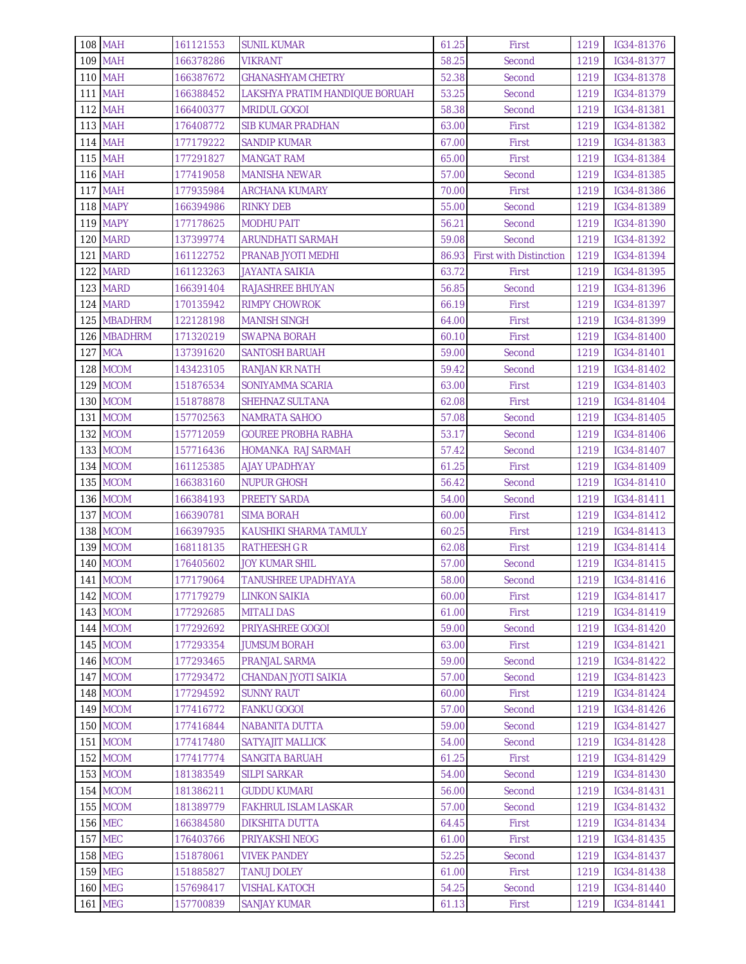| <b>108 MAH</b>  | 161121553 | <b>SUNIL KUMAR</b>             | 61.25 | First                         | 1219 | IG34-81376 |
|-----------------|-----------|--------------------------------|-------|-------------------------------|------|------------|
| <b>109 MAH</b>  | 166378286 | VIKRANT                        | 58.25 | Second                        | 1219 | IG34-81377 |
| <b>110 MAH</b>  | 166387672 | <b>GHANASHYAM CHETRY</b>       | 52.38 | Second                        | 1219 | IG34-81378 |
| <b>111 MAH</b>  | 166388452 | LAKSHYA PRATIM HANDIQUE BORUAH | 53.25 | Second                        | 1219 | IG34-81379 |
| <b>112 MAH</b>  | 166400377 | <b>MRIDUL GOGOI</b>            | 58.38 | Second                        | 1219 | IG34-81381 |
| <b>113 MAH</b>  | 176408772 | <b>SIB KUMAR PRADHAN</b>       | 63.00 | First                         | 1219 | IG34-81382 |
| <b>114 MAH</b>  | 177179222 | <b>SANDIP KUMAR</b>            | 67.00 | First                         | 1219 | IG34-81383 |
| <b>115 MAH</b>  | 177291827 | <b>MANGAT RAM</b>              | 65.00 | First                         | 1219 | IG34-81384 |
| <b>116 MAH</b>  | 177419058 | <b>MANISHA NEWAR</b>           | 57.00 | Second                        | 1219 | IG34-81385 |
| <b>117 MAH</b>  | 177935984 | ARCHANA KUMARY                 | 70.00 | First                         | 1219 | IG34-81386 |
| 118 MAPY        | 166394986 | <b>RINKY DEB</b>               | 55.00 | Second                        | 1219 | IG34-81389 |
| <b>119 MAPY</b> | 177178625 | <b>MODHU PAIT</b>              | 56.21 | Second                        | 1219 | IG34-81390 |
| 120 MARD        | 137399774 | ARUNDHATI SARMAH               | 59.08 | Second                        | 1219 | IG34-81392 |
| 121 MARD        | 161122752 | PRANAB JYOTI MEDHI             | 86.93 | <b>First with Distinction</b> | 1219 | IG34-81394 |
| 122 MARD        | 161123263 | JAYANTA SAIKIA                 | 63.72 | First                         | 1219 | IG34-81395 |
| 123 MARD        | 166391404 | RAJASHREE BHUYAN               | 56.85 | Second                        | 1219 | IG34-81396 |
| 124 MARD        | 170135942 | RIMPY CHOWROK                  | 66.19 | First                         | 1219 | IG34-81397 |
| 125 MBADHRM     | 122128198 | <b>MANISH SINGH</b>            | 64.00 | First                         | 1219 | IG34-81399 |
| 126 MBADHRM     | 171320219 | SWAPNA BORAH                   | 60.10 | First                         | 1219 | IG34-81400 |
| 127 MCA         | 137391620 | <b>SANTOSH BARUAH</b>          | 59.00 | Second                        | 1219 | IG34-81401 |
| 128 MCOM        | 143423105 | RANJAN KR NATH                 | 59.42 | Second                        | 1219 | IG34-81402 |
| 129 MCOM        | 151876534 | SONIYAMMA SCARIA               | 63.00 | First                         | 1219 | IG34-81403 |
| 130 MCOM        | 151878878 | SHEHNAZ SULTANA                | 62.08 | First                         | 1219 | IG34-81404 |
| 131 MCOM        | 157702563 | <b>NAMRATA SAHOO</b>           | 57.08 | Second                        | 1219 | IG34-81405 |
| 132 MCOM        | 157712059 | <b>GOUREE PROBHA RABHA</b>     | 53.17 | Second                        | 1219 | IG34-81406 |
| 133 MCOM        | 157716436 | <b>HOMANKA RAJ SARMAH</b>      | 57.42 | Second                        | 1219 | IG34-81407 |
| 134 MCOM        | 161125385 | AJAY UPADHYAY                  | 61.25 | First                         | 1219 | IG34-81409 |
| 135 MCOM        | 166383160 | <b>NUPUR GHOSH</b>             | 56.42 | Second                        | 1219 | IG34-81410 |
| 136 MCOM        | 166384193 | <b>PREETY SARDA</b>            | 54.00 | Second                        | 1219 | IG34-81411 |
| 137 MCOM        | 166390781 | SIMA BORAH                     | 60.00 | First                         | 1219 | IG34-81412 |
| 138 MCOM        | 166397935 | KAUSHIKI SHARMA TAMULY         | 60.25 | First                         | 1219 | IG34-81413 |
| 139 MCOM        | 168118135 | RATHEESH G R                   | 62.08 | First                         | 1219 | IG34-81414 |
| 140 MCOM        | 176405602 | <b>JOY KUMAR SHIL</b>          | 57.00 | Second                        | 1219 | IG34-81415 |
| 141 MCOM        | 177179064 | <b>TANUSHREE UPADHYAYA</b>     | 58.00 | Second                        | 1219 | IG34-81416 |
| 142 MCOM        | 177179279 | LINKON SAIKIA                  | 60.00 | First                         | 1219 | IG34-81417 |
| 143 MCOM        | 177292685 | MITALI DAS                     | 61.00 | First                         | 1219 | IG34-81419 |
| 144 MCOM        | 177292692 | <b>PRIYASHREE GOGOI</b>        | 59.00 | Second                        | 1219 | IG34-81420 |
| 145 MCOM        | 177293354 | <b>JUMSUM BORAH</b>            | 63.00 | First                         | 1219 | IG34-81421 |
| 146 MCOM        | 177293465 | PRANJAL SARMA                  | 59.00 | Second                        | 1219 | IG34-81422 |
| 147 MCOM        | 177293472 | CHANDAN JYOTI SAIKIA           | 57.00 | Second                        | 1219 | IG34-81423 |
| 148 MCOM        | 177294592 | SUNNY RAUT                     | 60.00 | First                         | 1219 | IG34-81424 |
| 149 MCOM        | 177416772 | <b>FANKU GOGOI</b>             | 57.00 | Second                        | 1219 | IG34-81426 |
| 150 MCOM        | 177416844 | NABANITA DUTTA                 | 59.00 | Second                        | 1219 | IG34-81427 |
| 151 MCOM        | 177417480 | <b>SATYAJIT MALLICK</b>        | 54.00 | Second                        | 1219 | IG34-81428 |
| 152 MCOM        | 177417774 | SANGITA BARUAH                 | 61.25 | First                         | 1219 | IG34-81429 |
| 153 MCOM        | 181383549 | SILPI SARKAR                   | 54.00 | Second                        | 1219 | IG34-81430 |
| 154 MCOM        | 181386211 | <b>GUDDU KUMARI</b>            | 56.00 | Second                        | 1219 | IG34-81431 |
| 155 MCOM        | 181389779 | <b>FAKHRUL ISLAM LASKAR</b>    | 57.00 | Second                        | 1219 | IG34-81432 |
| <b>156 MEC</b>  | 166384580 | DIKSHITA DUTTA                 | 64.45 | First                         | 1219 | IG34-81434 |
| <b>157 MEC</b>  | 176403766 | PRIYAKSHI NEOG                 | 61.00 | First                         | 1219 | IG34-81435 |
| <b>158 MEG</b>  | 151878061 | <b>VIVEK PANDEY</b>            | 52.25 | Second                        | 1219 | IG34-81437 |
| <b>159 MEG</b>  | 151885827 | <b>TANUJ DOLEY</b>             | 61.00 | First                         | 1219 | IG34-81438 |
| <b>160 MEG</b>  | 157698417 | VISHAL KATOCH                  | 54.25 | Second                        | 1219 | IG34-81440 |
| <b>161 MEG</b>  | 157700839 | SANJAY KUMAR                   | 61.13 | First                         | 1219 | IG34-81441 |
|                 |           |                                |       |                               |      |            |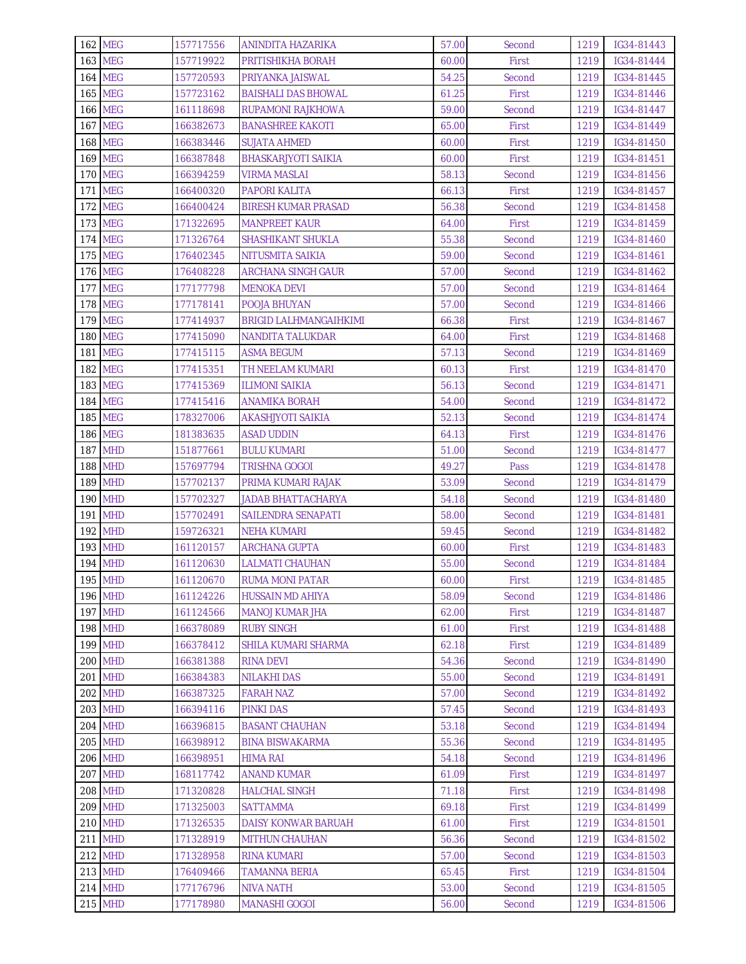| <b>162 MEG</b>                   | 157717556              | ANINDITA HAZARIKA                            | 57.00          | Second          | 1219         | IG34-81443               |
|----------------------------------|------------------------|----------------------------------------------|----------------|-----------------|--------------|--------------------------|
| <b>163 MEG</b>                   | 157719922              | PRITISHIKHA BORAH                            | 60.00          | First           | 1219         | IG34-81444               |
| <b>164 MEG</b>                   | 157720593              | PRIYANKA JAISWAL                             | 54.25          | Second          | 1219         | IG34-81445               |
| <b>165 MEG</b>                   | 157723162              | <b>BAISHALI DAS BHOWAL</b>                   | 61.25          | First           | 1219         | IG34-81446               |
| <b>166 MEG</b>                   | 161118698              | RUPAMONI RAJKHOWA                            | 59.00          | Second          | 1219         | IG34-81447               |
| <b>167 MEG</b>                   | 166382673              | <b>BANASHREE KAKOTI</b>                      | 65.00          | First           | 1219         | IG34-81449               |
| <b>168 MEG</b>                   | 166383446              | <b>SUJATA AHMED</b>                          | 60.00          | First           | 1219         | IG34-81450               |
| <b>169 MEG</b>                   | 166387848              | BHASKARJYOTI SAIKIA                          | 60.00          | First           | 1219         | IG34-81451               |
| <b>170 MEG</b>                   | 166394259              | <b>VIRMA MASLAI</b>                          | 58.13          | Second          | 1219         | IG34-81456               |
| <b>171 MEG</b>                   | 166400320              | <b>PAPORI KALITA</b>                         | 66.13          | First           | 1219         | IG34-81457               |
| <b>172 MEG</b>                   | 166400424              | <b>BIRESH KUMAR PRASAD</b>                   | 56.38          | Second          | 1219         | IG34-81458               |
| <b>173 MEG</b>                   | 171322695              | <b>MANPREET KAUR</b>                         | 64.00          | First           | 1219         | IG34-81459               |
| <b>174 MEG</b>                   | 171326764              | SHASHIKANT SHUKLA                            | 55.38          | Second          | 1219         | IG34-81460               |
| <b>175 MEG</b>                   | 176402345              | NITUSMITA SAIKIA                             | 59.00          | Second          | 1219         | IG34-81461               |
| <b>176 MEG</b>                   | 176408228              | ARCHANA SINGH GAUR                           | 57.00          | Second          | 1219         | IG34-81462               |
| <b>177 MEG</b>                   | 177177798              | <b>MENOKA DEVI</b>                           | 57.00          | Second          | 1219         | IG34-81464               |
| <b>178 MEG</b>                   | 177178141              | POOJA BHUYAN                                 | 57.00          | Second          | 1219         | IG34-81466               |
| <b>179 MEG</b>                   | 177414937              | <b>BRIGID LALHMANGAIHKIMI</b>                | 66.38          | First           | 1219         | IG34-81467               |
| <b>180 MEG</b>                   | 177415090              | NANDITA TALUKDAR                             | 64.00          | First           | 1219         | IG34-81468               |
| <b>181 MEG</b>                   | 177415115              | <b>ASMA BEGUM</b>                            | 57.13          | Second          | 1219         | IG34-81469               |
| <b>182 MEG</b>                   | 177415351              | <b>TH NEELAM KUMARI</b>                      | 60.13          | First           | 1219         | IG34-81470               |
| <b>183 MEG</b>                   | 177415369              | <b>ILIMONI SAIKIA</b>                        | 56.13          | Second          | 1219         | IG34-81471               |
| <b>184 MEG</b>                   | 177415416              | ANAMIKA BORAH                                | 54.00          | Second          | 1219         | IG34-81472               |
| <b>185 MEG</b>                   | 178327006              | AKASHJYOTI SAIKIA                            | 52.13          | Second          | 1219         | IG34-81474               |
| <b>186 MEG</b>                   | 181383635              | <b>ASAD UDDIN</b>                            | 64.13          | First           | 1219         | IG34-81476               |
| <b>187 MHD</b>                   | 151877661              | <b>BULU KUMARI</b>                           | 51.00          | Second          | 1219         | IG34-81477               |
| <b>188 MHD</b>                   | 157697794              | TRISHNA GOGOI                                | 49.27          | Pass            | 1219         | IG34-81478               |
| <b>189 MHD</b>                   | 157702137              | PRIMA KUMARI RAJAK                           | 53.09          | Second          | 1219         | IG34-81479               |
| <b>190 MHD</b>                   | 157702327              | <b>JADAB BHATTACHARYA</b>                    | 54.18          | Second          | 1219         | IG34-81480               |
| <b>191 MHD</b>                   | 157702491              | SAILENDRA SENAPATI                           | 58.00          | Second          | 1219         | IG34-81481               |
| 192 MHD                          | 159726321              | NEHA KUMARI                                  | 59.45          | Second          | 1219         | IG34-81482               |
| <b>193 MHD</b>                   | 161120157              | <b>ARCHANA GUPTA</b>                         | 60.00          | First           | 1219         | IG34-81483               |
| <b>194 MHD</b>                   | 161120630              | LALMATI CHAUHAN                              | 55.00          | Second          | 1219         | IG34-81484               |
| <b>195 MHD</b>                   | 161120670              | <b>RUMA MONI PATAR</b>                       | 60.00          | First           | 1219         | IG34-81485               |
| <b>196 MHD</b>                   | 161124226              | <b>HUSSAIN MD AHIYA</b>                      | 58.09          | Second          | 1219         | IG34-81486               |
| <b>197 MHD</b>                   | 161124566              | <b>MANOJ KUMAR JHA</b>                       | 62.00          | First           | 1219         | IG34-81487               |
| <b>198 MHD</b>                   | 166378089              | <b>RUBY SINGH</b>                            | 61.00          | First           | 1219         | IG34-81488               |
| <b>199 MHD</b>                   | 166378412              | SHILA KUMARI SHARMA                          | 62.18          | First           | 1219         | IG34-81489               |
| <b>200 MHD</b>                   | 166381388              | <b>RINA DEVI</b>                             | 54.36          | Second          | 1219         | IG34-81490               |
| <b>201 MHD</b>                   | 166384383              | <b>NILAKHI DAS</b>                           | 55.00          | Second          | 1219         | IG34-81491               |
| <b>202 MHD</b>                   | 166387325              | <b>FARAH NAZ</b>                             | 57.00          | Second          | 1219         | IG34-81492               |
| <b>203 MHD</b>                   | 166394116              | PINKI DAS                                    | 57.45          | Second          | 1219         | IG34-81493               |
| 204 MHD                          | 166396815              | <b>BASANT CHAUHAN</b>                        | 53.18          | Second          | 1219         | IG34-81494               |
| 205 MHD                          | 166398912              | <b>BINA BISWAKARMA</b>                       | 55.36          | Second          | 1219         | IG34-81495               |
| <b>206 MHD</b>                   | 166398951              | <b>HIMA RAI</b>                              | 54.18          | Second          | 1219         | IG34-81496               |
| <b>207 MHD</b><br><b>208 MHD</b> | 168117742              | <b>ANAND KUMAR</b>                           | 61.09          | First           | 1219         | IG34-81497               |
| <b>209 MHD</b>                   | 171320828<br>171325003 | <b>HALCHAL SINGH</b><br><b>SATTAMMA</b>      | 71.18          | First           | 1219         | IG34-81498<br>IG34-81499 |
| <b>210 MHD</b>                   |                        |                                              | 69.18          | First           | 1219         |                          |
| <b>211 MHD</b>                   | 171326535<br>171328919 | DAISY KONWAR BARUAH<br><b>MITHUN CHAUHAN</b> | 61.00<br>56.36 | First<br>Second | 1219<br>1219 | IG34-81501<br>IG34-81502 |
| <b>212 MHD</b>                   | 171328958              | <b>RINA KUMARI</b>                           | 57.00          | Second          | 1219         | IG34-81503               |
| 213 MHD                          | 176409466              | TAMANNA BERIA                                | 65.45          | First           | 1219         | IG34-81504               |
| 214 MHD                          | 177176796              | <b>NIVA NATH</b>                             | 53.00          | Second          | 1219         | IG34-81505               |
| <b>215 MHD</b>                   | 177178980              | <b>MANASHI GOGOI</b>                         | 56.00          | Second          | 1219         | IG34-81506               |
|                                  |                        |                                              |                |                 |              |                          |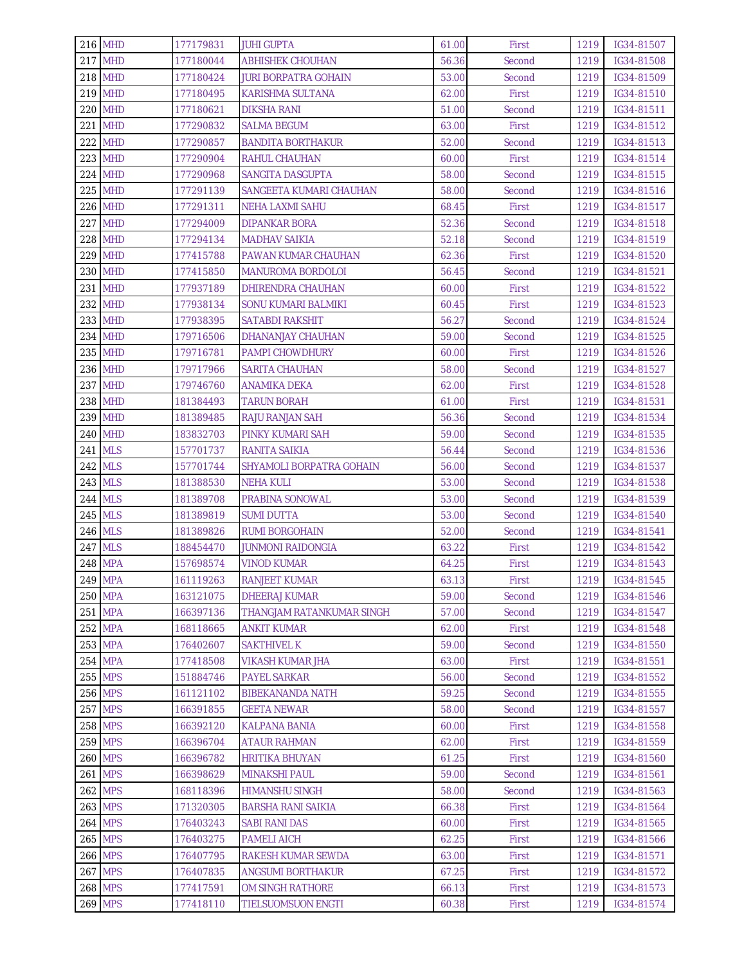| <b>216 MHD</b> | 177179831 | <b>JUHI GUPTA</b>           | 61.00 | First  | 1219 | IG34-81507 |
|----------------|-----------|-----------------------------|-------|--------|------|------------|
| <b>217 MHD</b> | 177180044 | <b>ABHISHEK CHOUHAN</b>     | 56.36 | Second | 1219 | IG34-81508 |
| <b>218 MHD</b> | 177180424 | <b>JURI BORPATRA GOHAIN</b> | 53.00 | Second | 1219 | IG34-81509 |
| <b>219 MHD</b> | 177180495 | KARISHMA SULTANA            | 62.00 | First  | 1219 | IG34-81510 |
| <b>220 MHD</b> | 177180621 | DIKSHA RANI                 | 51.00 | Second | 1219 | IG34-81511 |
| <b>221 MHD</b> | 177290832 | <b>SALMA BEGUM</b>          | 63.00 | First  | 1219 | IG34-81512 |
| <b>222 MHD</b> | 177290857 | <b>BANDITA BORTHAKUR</b>    | 52.00 | Second | 1219 | IG34-81513 |
| <b>223 MHD</b> | 177290904 | RAHUL CHAUHAN               | 60.00 | First  | 1219 | IG34-81514 |
| <b>224 MHD</b> | 177290968 | SANGITA DASGUPTA            | 58.00 | Second | 1219 | IG34-81515 |
| <b>225 MHD</b> | 177291139 | SANGEETA KUMARI CHAUHAN     | 58.00 | Second | 1219 | IG34-81516 |
| <b>226 MHD</b> | 177291311 | <b>NEHA LAXMI SAHU</b>      | 68.45 | First  | 1219 | IG34-81517 |
| <b>227 MHD</b> | 177294009 | DIPANKAR BORA               | 52.36 | Second | 1219 | IG34-81518 |
| <b>228 MHD</b> | 177294134 | <b>MADHAV SAIKIA</b>        | 52.18 | Second | 1219 | IG34-81519 |
| <b>229 MHD</b> | 177415788 | PAWAN KUMAR CHAUHAN         | 62.36 | First  | 1219 | IG34-81520 |
| <b>230 MHD</b> | 177415850 | <b>MANUROMA BORDOLOI</b>    | 56.45 | Second | 1219 | IG34-81521 |
| 231 MHD        | 177937189 | DHIRENDRA CHAUHAN           | 60.00 | First  | 1219 | IG34-81522 |
| <b>232 MHD</b> | 177938134 | <b>SONU KUMARI BALMIKI</b>  | 60.45 | First  | 1219 | IG34-81523 |
| 233 MHD        | 177938395 | <b>SATABDI RAKSHIT</b>      | 56.27 | Second | 1219 | IG34-81524 |
| 234 MHD        | 179716506 | DHANANJAY CHAUHAN           | 59.00 | Second | 1219 | IG34-81525 |
| <b>235 MHD</b> | 179716781 | <b>PAMPI CHOWDHURY</b>      | 60.00 | First  | 1219 | IG34-81526 |
| <b>236 MHD</b> | 179717966 | <b>SARITA CHAUHAN</b>       | 58.00 | Second | 1219 | IG34-81527 |
| <b>237 MHD</b> | 179746760 | ANAMIKA DEKA                | 62.00 | First  | 1219 | IG34-81528 |
| 238 MHD        | 181384493 | TARUN BORAH                 | 61.00 | First  | 1219 | IG34-81531 |
| <b>239 MHD</b> | 181389485 | <b>RAJU RANJAN SAH</b>      | 56.36 | Second | 1219 | IG34-81534 |
| <b>240 MHD</b> | 183832703 | PINKY KUMARI SAH            | 59.00 | Second | 1219 | IG34-81535 |
| <b>241 MLS</b> | 157701737 | RANITA SAIKIA               | 56.44 | Second | 1219 | IG34-81536 |
| <b>242 MLS</b> | 157701744 | SHYAMOLI BORPATRA GOHAIN    | 56.00 | Second | 1219 | IG34-81537 |
| 243 MLS        | 181388530 | <b>NEHA KULI</b>            | 53.00 | Second | 1219 | IG34-81538 |
| <b>244 MLS</b> | 181389708 | PRABINA SONOWAL             | 53.00 | Second | 1219 | IG34-81539 |
| <b>245 MLS</b> | 181389819 | <b>SUMI DUTTA</b>           | 53.00 | Second | 1219 | IG34-81540 |
| <b>246 MLS</b> | 181389826 | <b>RUMI BORGOHAIN</b>       | 52.00 | Second | 1219 | IG34-81541 |
| <b>247 MLS</b> | 188454470 | JUNMONI RAIDONGIA           | 63.22 | First  | 1219 | IG34-81542 |
| 248 MPA        | 157698574 | <b>VINOD KUMAR</b>          | 64.25 | First  | 1219 | IG34-81543 |
| 249 MPA        | 161119263 | <b>RANJEET KUMAR</b>        | 63.13 | First  | 1219 | IG34-81545 |
| 250 MPA        | 163121075 | DHEERAJ KUMAR               | 59.00 | Second | 1219 | IG34-81546 |
| 251 MPA        | 166397136 | THANGJAM RATANKUMAR SINGH   | 57.00 | Second | 1219 | IG34-81547 |
| 252 MPA        | 168118665 | <b>ANKIT KUMAR</b>          | 62.00 | First  | 1219 | IG34-81548 |
| 253 MPA        | 176402607 | <b>SAKTHIVEL K</b>          | 59.00 | Second | 1219 | IG34-81550 |
| 254 MPA        | 177418508 | <b>VIKASH KUMAR JHA</b>     | 63.00 | First  | 1219 | IG34-81551 |
| 255 MPS        | 151884746 | <b>PAYEL SARKAR</b>         | 56.00 | Second | 1219 | IG34-81552 |
| 256 MPS        | 161121102 | <b>BIBEKANANDA NATH</b>     | 59.25 | Second | 1219 | IG34-81555 |
| <b>257 MPS</b> | 166391855 | <b>GEETA NEWAR</b>          | 58.00 | Second | 1219 | IG34-81557 |
| <b>258 MPS</b> | 166392120 | <b>KALPANA BANIA</b>        | 60.00 | First  | 1219 | IG34-81558 |
| <b>259 MPS</b> | 166396704 | <b>ATAUR RAHMAN</b>         | 62.00 | First  | 1219 | IG34-81559 |
| <b>260 MPS</b> | 166396782 | <b>HRITIKA BHUYAN</b>       | 61.25 | First  | 1219 | IG34-81560 |
| <b>261 MPS</b> | 166398629 | <b>MINAKSHI PAUL</b>        | 59.00 | Second | 1219 | IG34-81561 |
| <b>262 MPS</b> | 168118396 | <b>HIMANSHU SINGH</b>       | 58.00 | Second | 1219 | IG34-81563 |
| 263 MPS        | 171320305 | BARSHA RANI SAIKIA          | 66.38 | First  | 1219 | IG34-81564 |
| <b>264 MPS</b> | 176403243 | <b>SABI RANI DAS</b>        | 60.00 | First  | 1219 | IG34-81565 |
| <b>265 MPS</b> | 176403275 | <b>PAMELI AICH</b>          | 62.25 | First  | 1219 | IG34-81566 |
| 266 MPS        | 176407795 | RAKESH KUMAR SEWDA          | 63.00 | First  | 1219 | IG34-81571 |
| <b>267 MPS</b> | 176407835 | <b>ANGSUMI BORTHAKUR</b>    | 67.25 | First  | 1219 | IG34-81572 |
| 268 MPS        | 177417591 | <b>OM SINGH RATHORE</b>     | 66.13 | First  | 1219 | IG34-81573 |
| 269 MPS        | 177418110 | <b>TIELSUOMSUON ENGTI</b>   | 60.38 | First  | 1219 | IG34-81574 |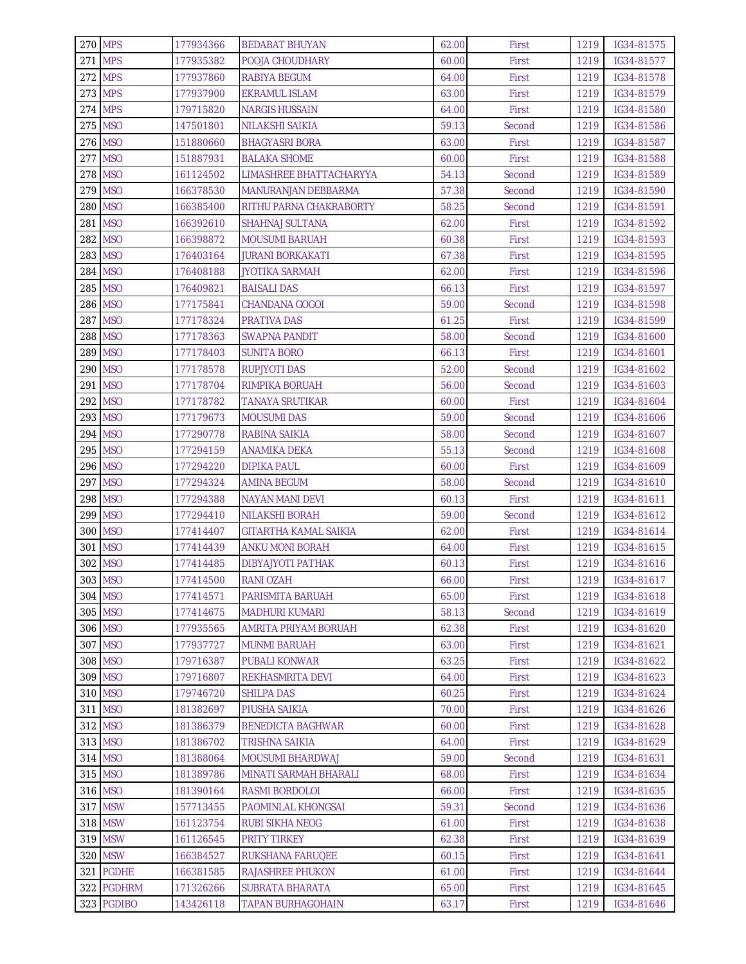| <b>270 MPS</b> |            | 177934366 | <b>BEDABAT BHUYAN</b>        | 62.00 | First  | 1219 | IG34-81575 |
|----------------|------------|-----------|------------------------------|-------|--------|------|------------|
| <b>271 MPS</b> |            | 177935382 | POOJA CHOUDHARY              | 60.00 | First  | 1219 | IG34-81577 |
| <b>272 MPS</b> |            | 177937860 | RABIYA BEGUM                 | 64.00 | First  | 1219 | IG34-81578 |
| <b>273 MPS</b> |            | 177937900 | EKRAMUL ISLAM                | 63.00 | First  | 1219 | IG34-81579 |
| <b>274 MPS</b> |            | 179715820 | <b>NARGIS HUSSAIN</b>        | 64.00 | First  | 1219 | IG34-81580 |
| 275 MSO        |            | 147501801 | NILAKSHI SAIKIA              | 59.13 | Second | 1219 | IG34-81586 |
| 276 MSO        |            | 151880660 | <b>BHAGYASRI BORA</b>        | 63.00 | First  | 1219 | IG34-81587 |
| 277 MSO        |            | 151887931 | <b>BALAKA SHOME</b>          | 60.00 | First  | 1219 | IG34-81588 |
| 278 MSO        |            | 161124502 | LIMASHREE BHATTACHARYYA      | 54.13 | Second | 1219 | IG34-81589 |
| 279 MSO        |            | 166378530 | <b>MANURANJAN DEBBARMA</b>   | 57.38 | Second | 1219 | IG34-81590 |
| 280 MSO        |            | 166385400 | RITHU PARNA CHAKRABORTY      | 58.25 | Second | 1219 | IG34-81591 |
| 281 MSO        |            | 166392610 | SHAHNAJ SULTANA              | 62.00 | First  | 1219 | IG34-81592 |
| 282 MSO        |            | 166398872 | <b>MOUSUMI BARUAH</b>        | 60.38 | First  | 1219 | IG34-81593 |
| 283 MSO        |            | 176403164 | JURANI BORKAKATI             | 67.38 | First  | 1219 | IG34-81595 |
| 284 MSO        |            | 176408188 | <b>JYOTIKA SARMAH</b>        | 62.00 | First  | 1219 | IG34-81596 |
| 285 MSO        |            | 176409821 | <b>BAISALI DAS</b>           | 66.13 | First  | 1219 | IG34-81597 |
| 286 MSO        |            | 177175841 | <b>CHANDANA GOGOI</b>        | 59.00 | Second | 1219 | IG34-81598 |
| 287 MSO        |            | 177178324 | <b>PRATIVA DAS</b>           | 61.25 | First  | 1219 | IG34-81599 |
| 288 MSO        |            | 177178363 | <b>SWAPNA PANDIT</b>         | 58.00 | Second | 1219 | IG34-81600 |
| 289 MSO        |            | 177178403 | <b>SUNITA BORO</b>           | 66.13 | First  | 1219 | IG34-81601 |
| 290 MSO        |            | 177178578 | <b>RUPJYOTI DAS</b>          | 52.00 | Second | 1219 | IG34-81602 |
| 291 MSO        |            | 177178704 | RIMPIKA BORUAH               | 56.00 | Second | 1219 | IG34-81603 |
| 292 MSO        |            | 177178782 | TANAYA SRUTIKAR              | 60.00 | First  | 1219 | IG34-81604 |
| 293 MSO        |            | 177179673 | <b>MOUSUMI DAS</b>           | 59.00 | Second | 1219 | IG34-81606 |
| 294 MSO        |            | 177290778 | RABINA SAIKIA                | 58.00 | Second | 1219 | IG34-81607 |
| 295 MSO        |            | 177294159 | ANAMIKA DEKA                 | 55.13 | Second | 1219 | IG34-81608 |
| 296 MSO        |            | 177294220 | <b>DIPIKA PAUL</b>           | 60.00 | First  | 1219 | IG34-81609 |
| 297 MSO        |            | 177294324 | <b>AMINA BEGUM</b>           | 58.00 | Second | 1219 | IG34-81610 |
| 298 MSO        |            | 177294388 | <b>NAYAN MANI DEVI</b>       | 60.13 | First  | 1219 | IG34-81611 |
| 299 MSO        |            | 177294410 | <b>NILAKSHI BORAH</b>        | 59.00 | Second | 1219 | IG34-81612 |
| 300 MSO        |            | 177414407 | <b>GITARTHA KAMAL SAIKIA</b> | 62.00 | First  | 1219 | IG34-81614 |
| 301 MSO        |            | 177414439 | ANKU MONI BORAH              | 64.00 | First  | 1219 | IG34-81615 |
| 302 MSO        |            | 177414485 | <b>DIBYAJYOTI PATHAK</b>     | 60.13 | First  | 1219 | IG34-81616 |
| 303 MSO        |            | 177414500 | <b>RANI OZAH</b>             | 66.00 | First  | 1219 | IG34-81617 |
|                | 304 MSO    | 177414571 | PARISMITA BARUAH             | 65.00 | First  | 1219 | IG34-81618 |
| 305 MSO        |            | 177414675 | <b>MADHURI KUMARI</b>        | 58.13 | Second | 1219 | IG34-81619 |
| 306 MSO        |            | 177935565 | AMRITA PRIYAM BORUAH         | 62.38 | First  | 1219 | IG34-81620 |
| 307 MSO        |            | 177937727 | <b>MUNMI BARUAH</b>          | 63.00 | First  | 1219 | IG34-81621 |
| 308 MSO        |            | 179716387 | <b>PUBALI KONWAR</b>         | 63.25 | First  | 1219 | IG34-81622 |
| 309 MSO        |            | 179716807 | REKHASMRITA DEVI             | 64.00 | First  | 1219 | IG34-81623 |
| 310 MSO        |            | 179746720 | <b>SHILPA DAS</b>            | 60.25 | First  | 1219 | IG34-81624 |
| 311 MSO        |            | 181382697 | PIUSHA SAIKIA                | 70.00 | First  | 1219 | IG34-81626 |
| 312 MSO        |            | 181386379 | <b>BENEDICTA BAGHWAR</b>     | 60.00 | First  | 1219 | IG34-81628 |
| 313 MSO        |            | 181386702 | TRISHNA SAIKIA               | 64.00 | First  | 1219 | IG34-81629 |
| 314 MSO        |            | 181388064 | <b>MOUSUMI BHARDWAJ</b>      | 59.00 | Second | 1219 | IG34-81631 |
|                | 315 MSO    | 181389786 | MINATI SARMAH BHARALI        | 68.00 | First  | 1219 | IG34-81634 |
| 316 MSO        |            | 181390164 | RASMI BORDOLOI               | 66.00 | First  | 1219 | IG34-81635 |
|                | 317 MSW    | 157713455 | PAOMINLAL KHONGSAI           | 59.31 | Second | 1219 | IG34-81636 |
|                | 318 MSW    | 161123754 | <b>RUBI SIKHA NEOG</b>       | 61.00 | First  | 1219 | IG34-81638 |
|                | 319 MSW    | 161126545 | <b>PRITY TIRKEY</b>          | 62.38 | First  | 1219 | IG34-81639 |
|                | 320 MSW    | 166384527 | RUKSHANA FARUQEE             | 60.15 | First  | 1219 | IG34-81641 |
|                | 321 PGDHE  | 166381585 | <b>RAJASHREE PHUKON</b>      | 61.00 | First  | 1219 | IG34-81644 |
|                | 322 PGDHRM | 171326266 | <b>SUBRATA BHARATA</b>       | 65.00 | First  | 1219 | IG34-81645 |
|                | 323 PGDIBO | 143426118 | <b>TAPAN BURHAGOHAIN</b>     | 63.17 | First  | 1219 | IG34-81646 |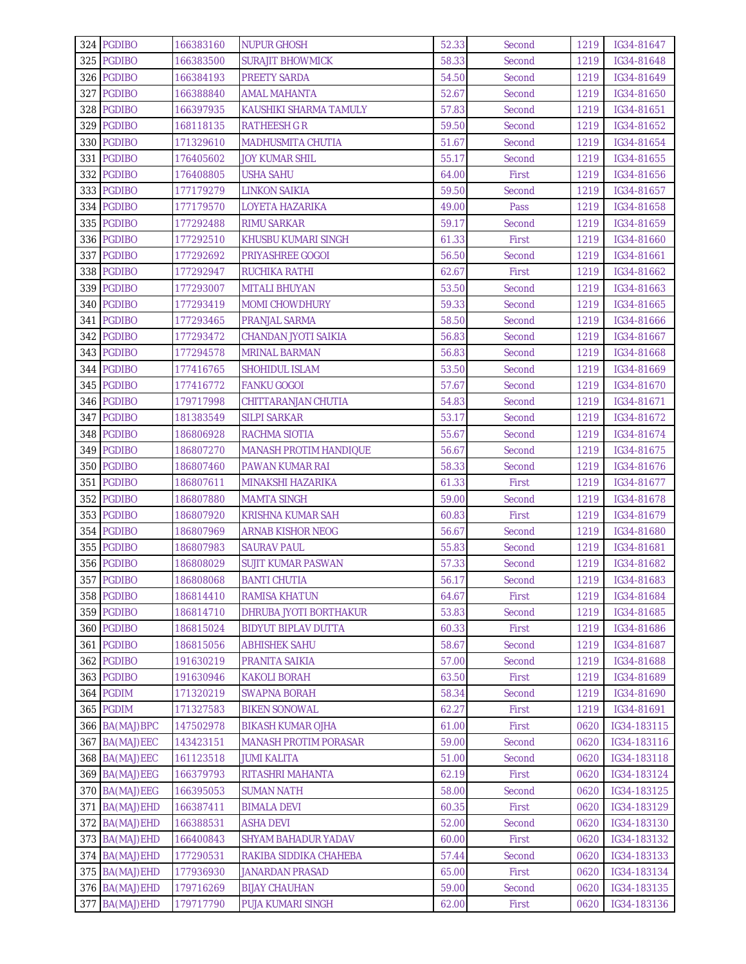| 324 PGDIBO        | 166383160 | <b>NUPUR GHOSH</b>            | 52.33 | Second | 1219 | IG34-81647  |
|-------------------|-----------|-------------------------------|-------|--------|------|-------------|
| 325 PGDIBO        | 166383500 | <b>SURAJIT BHOWMICK</b>       | 58.33 | Second | 1219 | IG34-81648  |
| 326 PGDIBO        | 166384193 | <b>PREETY SARDA</b>           | 54.50 | Second | 1219 | IG34-81649  |
| 327 PGDIBO        | 166388840 | AMAL MAHANTA                  | 52.67 | Second | 1219 | IG34-81650  |
| 328 PGDIBO        | 166397935 | KAUSHIKI SHARMA TAMULY        | 57.83 | Second | 1219 | IG34-81651  |
| 329 PGDIBO        | 168118135 | <b>RATHEESH G R</b>           | 59.50 | Second | 1219 | IG34-81652  |
| 330 PGDIBO        | 171329610 | <b>MADHUSMITA CHUTIA</b>      | 51.67 | Second | 1219 | IG34-81654  |
| 331 PGDIBO        | 176405602 | JOY KUMAR SHIL                | 55.17 | Second | 1219 | IG34-81655  |
| 332 PGDIBO        | 176408805 | USHA SAHU                     | 64.00 | First  | 1219 | IG34-81656  |
| 333 PGDIBO        | 177179279 | LINKON SAIKIA                 | 59.50 | Second | 1219 | IG34-81657  |
| 334 PGDIBO        | 177179570 | LOYETA HAZARIKA               | 49.00 | Pass   | 1219 | IG34-81658  |
| 335 PGDIBO        | 177292488 | <b>RIMU SARKAR</b>            | 59.17 | Second | 1219 | IG34-81659  |
| 336 PGDIBO        | 177292510 | KHUSBU KUMARI SINGH           | 61.33 | First  | 1219 | IG34-81660  |
| 337 PGDIBO        | 177292692 | <b>PRIYASHREE GOGOI</b>       | 56.50 | Second | 1219 | IG34-81661  |
| 338 PGDIBO        | 177292947 | RUCHIKA RATHI                 | 62.67 | First  | 1219 | IG34-81662  |
| 339 PGDIBO        | 177293007 | <b>MITALI BHUYAN</b>          | 53.50 | Second | 1219 | IG34-81663  |
| 340 PGDIBO        | 177293419 | <b>MOMI CHOWDHURY</b>         | 59.33 | Second | 1219 | IG34-81665  |
| 341 PGDIBO        | 177293465 | PRANJAL SARMA                 | 58.50 | Second | 1219 | IG34-81666  |
| 342 PGDIBO        | 177293472 | CHANDAN JYOTI SAIKIA          | 56.83 | Second | 1219 | IG34-81667  |
| 343 PGDIBO        | 177294578 | <b>MRINAL BARMAN</b>          | 56.83 | Second | 1219 | IG34-81668  |
| 344 PGDIBO        | 177416765 | <b>SHOHIDUL ISLAM</b>         | 53.50 | Second | 1219 | IG34-81669  |
| 345 PGDIBO        | 177416772 | FANKU GOGOI                   | 57.67 | Second | 1219 | IG34-81670  |
| 346 PGDIBO        | 179717998 | CHITTARANJAN CHUTIA           | 54.83 | Second | 1219 | IG34-81671  |
| 347 PGDIBO        | 181383549 | <b>SILPI SARKAR</b>           | 53.17 | Second | 1219 | IG34-81672  |
| 348 PGDIBO        | 186806928 | RACHMA SIOTIA                 | 55.67 | Second | 1219 | IG34-81674  |
| 349 PGDIBO        | 186807270 | <b>MANASH PROTIM HANDIQUE</b> | 56.67 | Second | 1219 | IG34-81675  |
| 350 PGDIBO        | 186807460 | PAWAN KUMAR RAI               | 58.33 | Second | 1219 | IG34-81676  |
| 351 PGDIBO        | 186807611 | MINAKSHI HAZARIKA             | 61.33 | First  | 1219 | IG34-81677  |
| 352 PGDIBO        | 186807880 | <b>MAMTA SINGH</b>            | 59.00 | Second | 1219 | IG34-81678  |
| 353 PGDIBO        | 186807920 | KRISHNA KUMAR SAH             | 60.83 | First  | 1219 | IG34-81679  |
| 354 PGDIBO        | 186807969 | <b>ARNAB KISHOR NEOG</b>      | 56.67 | Second | 1219 | IG34-81680  |
| 355 PGDIBO        | 186807983 | <b>SAURAV PAUL</b>            | 55.83 | Second | 1219 | IG34-81681  |
| 356 PGDIBO        | 186808029 | <b>SUJIT KUMAR PASWAN</b>     | 57.33 | Second | 1219 | IG34-81682  |
| 357 PGDIBO        | 186808068 | <b>BANTI CHUTIA</b>           | 56.17 | Second | 1219 | IG34-81683  |
| 358 PGDIBO        | 186814410 | RAMISA KHATUN                 | 64.67 | First  | 1219 | IG34-81684  |
| 359 PGDIBO        | 186814710 | DHRUBA JYOTI BORTHAKUR        | 53.83 | Second | 1219 | IG34-81685  |
| 360 PGDIBO        | 186815024 | <b>BIDYUT BIPLAV DUTTA</b>    | 60.33 | First  | 1219 | IG34-81686  |
| 361 PGDIBO        | 186815056 | <b>ABHISHEK SAHU</b>          | 58.67 | Second | 1219 | IG34-81687  |
| 362 PGDIBO        | 191630219 | PRANITA SAIKIA                | 57.00 | Second | 1219 | IG34-81688  |
| 363 PGDIBO        | 191630946 | <b>KAKOLI BORAH</b>           | 63.50 | First  | 1219 | IG34-81689  |
| 364 PGDIM         | 171320219 | <b>SWAPNA BORAH</b>           | 58.34 | Second | 1219 | IG34-81690  |
| 365 PGDIM         | 171327583 | <b>BIKEN SONOWAL</b>          | 62.27 | First  | 1219 | IG34-81691  |
| 366 BA(MAJ)BPC    | 147502978 | <b>BIKASH KUMAR OJHA</b>      | 61.00 | First  | 0620 | IG34-183115 |
| 367 BA(MAJ)EEC    | 143423151 | <b>MANASH PROTIM PORASAR</b>  | 59.00 | Second | 0620 | IG34-183116 |
| 368 BA(MAJ)EEC    | 161123518 | <b>JUMI KALITA</b>            | 51.00 | Second | 0620 | IG34-183118 |
| 369 BA(MAJ)EEG    | 166379793 | RITASHRI MAHANTA              | 62.19 | First  | 0620 | IG34-183124 |
| 370 BA(MAJ)EEG    | 166395053 | <b>SUMAN NATH</b>             | 58.00 | Second | 0620 | IG34-183125 |
| 371<br>BA(MAJ)EHD | 166387411 | <b>BIMALA DEVI</b>            | 60.35 | First  | 0620 | IG34-183129 |
| 372 BA(MAJ)EHD    | 166388531 | <b>ASHA DEVI</b>              | 52.00 | Second | 0620 | IG34-183130 |
| 373 BA(MAJ)EHD    | 166400843 | <b>SHYAM BAHADUR YADAV</b>    | 60.00 | First  | 0620 | IG34-183132 |
| 374 BA(MAJ)EHD    | 177290531 | RAKIBA SIDDIKA CHAHEBA        | 57.44 | Second | 0620 | IG34-183133 |
| 375 BA(MAJ)EHD    | 177936930 | <b>JANARDAN PRASAD</b>        | 65.00 | First  | 0620 | IG34-183134 |
| 376 BA(MAJ)EHD    | 179716269 | <b>BIJAY CHAUHAN</b>          | 59.00 | Second | 0620 | IG34-183135 |
| 377 BA(MAJ)EHD    | 179717790 | PUJA KUMARI SINGH             | 62.00 | First  | 0620 | IG34-183136 |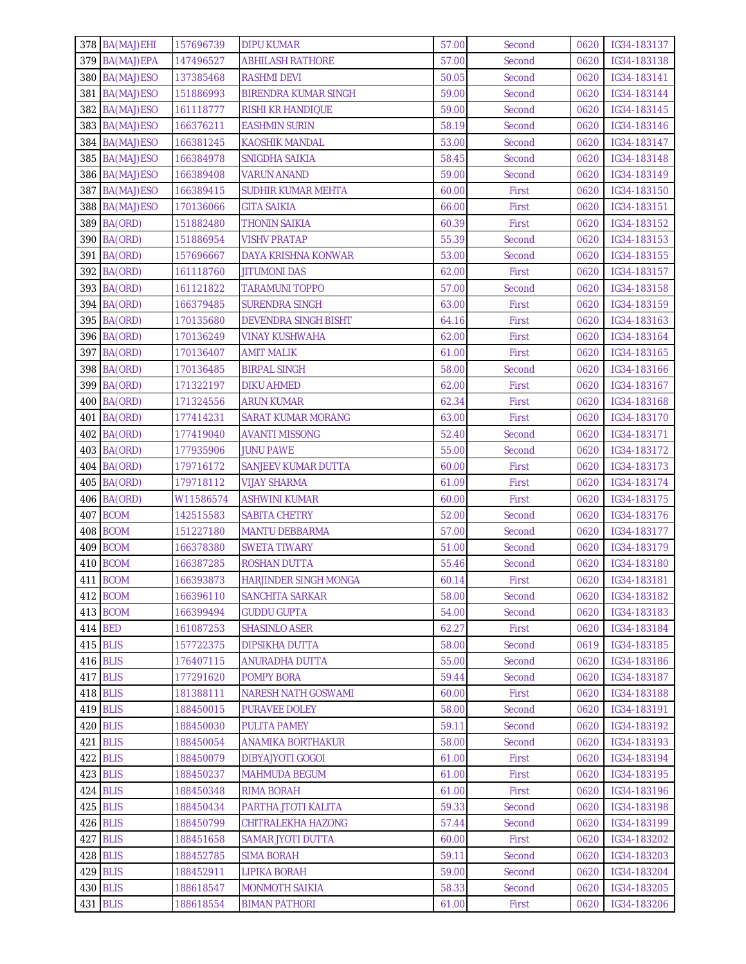| 378 BA(MAJ)EHI | 157696739 | <b>DIPU KUMAR</b>            | 57.00 | Second | 0620 | IG34-183137      |
|----------------|-----------|------------------------------|-------|--------|------|------------------|
| 379 BA(MAJ)EPA | 147496527 | <b>ABHILASH RATHORE</b>      | 57.00 | Second | 0620 | IG34-183138      |
| 380 BA(MAJ)ESO | 137385468 | <b>RASHMI DEVI</b>           | 50.05 | Second | 0620 | IG34-183141      |
| 381 BA(MAJ)ESO | 151886993 | BIRENDRA KUMAR SINGH         | 59.00 | Second | 0620 | IG34-183144      |
| 382 BA(MAJ)ESO | 161118777 | <b>RISHI KR HANDIQUE</b>     | 59.00 | Second | 0620 | IG34-183145      |
| 383 BA(MAJ)ESO | 166376211 | <b>EASHMIN SURIN</b>         | 58.19 | Second | 0620 | IG34-183146      |
| 384 BA(MAJ)ESO | 166381245 | <b>KAOSHIK MANDAL</b>        | 53.00 | Second | 0620 | IG34-183147      |
| 385 BA(MAJ)ESO | 166384978 | SNIGDHA SAIKIA               | 58.45 | Second | 0620 | IG34-183148      |
| 386 BA(MAJ)ESO | 166389408 | <b>VARUN ANAND</b>           | 59.00 | Second | 0620 | IG34-183149      |
| 387 BA(MAJ)ESO | 166389415 | <b>SUDHIR KUMAR MEHTA</b>    | 60.00 | First  | 0620 | IG34-183150      |
| 388 BA(MAJ)ESO | 170136066 | <b>GITA SAIKIA</b>           | 66.00 | First  | 0620 | IG34-183151      |
| 389 BA(ORD)    | 151882480 | <b>THONIN SAIKIA</b>         | 60.39 | First  | 0620 | IG34-183152      |
| 390 BA(ORD)    | 151886954 | <b>VISHV PRATAP</b>          | 55.39 | Second | 0620 | IG34-183153      |
| BA(ORD)<br>391 | 157696667 | DAYA KRISHNA KONWAR          | 53.00 | Second | 0620 | IG34-183155      |
| 392 BA(ORD)    | 161118760 | <b>JITUMONI DAS</b>          | 62.00 | First  | 0620 | IG34-183157      |
| 393 BA(ORD)    | 161121822 | <b>TARAMUNI TOPPO</b>        | 57.00 | Second | 0620 | IG34-183158      |
| 394 BA(ORD)    | 166379485 | <b>SURENDRA SINGH</b>        | 63.00 | First  | 0620 | IG34-183159      |
| 395 BA(ORD)    | 170135680 | <b>DEVENDRA SINGH BISHT</b>  | 64.16 | First  | 0620 | IG34-183163      |
| 396 BA(ORD)    | 170136249 | <b>VINAY KUSHWAHA</b>        | 62.00 | First  | 0620 | IG34-183164      |
| 397 BA(ORD)    | 170136407 | <b>AMIT MALIK</b>            | 61.00 | First  | 0620 | IG34-183165      |
| 398 BA(ORD)    | 170136485 | <b>BIRPAL SINGH</b>          | 58.00 | Second | 0620 | IG34-183166      |
| 399 BA(ORD)    | 171322197 | <b>DIKU AHMED</b>            | 62.00 | First  | 0620 | IG34-183167      |
| 400 BA(ORD)    | 171324556 | <b>ARUN KUMAR</b>            | 62.34 | First  | 0620 | IG34-183168      |
| BA(ORD)<br>401 | 177414231 | <b>SARAT KUMAR MORANG</b>    | 63.00 | First  | 0620 | IG34-183170      |
| 402 BA(ORD)    | 177419040 | <b>AVANTI MISSONG</b>        | 52.40 | Second | 0620 | IG34-183171      |
| 403 BA(ORD)    | 177935906 | <b>JUNU PAWE</b>             | 55.00 | Second | 0620 | IG34-183172      |
| 404 BA(ORD)    | 179716172 | <b>SANJEEV KUMAR DUTTA</b>   | 60.00 | First  | 0620 | IG34-183173      |
| 405 BA(ORD)    | 179718112 | <b>VIJAY SHARMA</b>          | 61.09 | First  | 0620 | IG34-183174      |
| 406 BA(ORD)    | W11586574 | <b>ASHWINI KUMAR</b>         | 60.00 | First  | 0620 | IG34-183175      |
| 407 BCOM       | 142515583 | <b>SABITA CHETRY</b>         | 52.00 | Second | 0620 | IG34-183176      |
| 408 BCOM       | 151227180 | <b>MANTU DEBBARMA</b>        | 57.00 | Second | 0620 | IG34-183177      |
| 409 BCOM       | 166378380 | <b>SWETA TIWARY</b>          | 51.00 | Second | 0620 | IG34-183179      |
| 410 BCOM       | 166387285 | <b>ROSHAN DUTTA</b>          | 55.46 | Second | 0620 | IG34-183180      |
| 411 BCOM       | 166393873 | <b>HARJINDER SINGH MONGA</b> | 60.14 | First  |      | 0620 IG34-183181 |
| 412 BCOM       | 166396110 | SANCHITA SARKAR              | 58.00 | Second | 0620 | IG34-183182      |
| 413 BCOM       | 166399494 | <b>GUDDU GUPTA</b>           | 54.00 | Second | 0620 | IG34-183183      |
| 414 BED        | 161087253 | <b>SHASINLO ASER</b>         | 62.27 | First  | 0620 | IG34-183184      |
| 415 BLIS       | 157722375 | <b>DIPSIKHA DUTTA</b>        | 58.00 | Second | 0619 | IG34-183185      |
| 416 BLIS       | 176407115 | ANURADHA DUTTA               | 55.00 | Second | 0620 | IG34-183186      |
| 417 BLIS       | 177291620 | <b>POMPY BORA</b>            | 59.44 | Second | 0620 | IG34-183187      |
| 418 BLIS       | 181388111 | <b>NARESH NATH GOSWAMI</b>   | 60.00 | First  | 0620 | IG34-183188      |
| 419 BLIS       | 188450015 | PURAVEE DOLEY                | 58.00 | Second | 0620 | IG34-183191      |
| 420 BLIS       | 188450030 | <b>PULITA PAMEY</b>          | 59.11 | Second | 0620 | IG34-183192      |
| 421 BLIS       | 188450054 | ANAMIKA BORTHAKUR            | 58.00 | Second | 0620 | IG34-183193      |
| 422 BLIS       | 188450079 | <b>DIBYAJYOTI GOGOI</b>      | 61.00 | First  | 0620 | IG34-183194      |
| 423 BLIS       | 188450237 | MAHMUDA BEGUM                | 61.00 | First  | 0620 | IG34-183195      |
| 424 BLIS       | 188450348 | RIMA BORAH                   | 61.00 | First  | 0620 | IG34-183196      |
| 425 BLIS       | 188450434 | PARTHA JTOTI KALITA          | 59.33 | Second | 0620 | IG34-183198      |
| 426 BLIS       | 188450799 | CHITRALEKHA HAZONG           | 57.44 | Second | 0620 | IG34-183199      |
| 427 BLIS       | 188451658 | <b>SAMAR JYOTI DUTTA</b>     | 60.00 | First  | 0620 | IG34-183202      |
| 428 BLIS       | 188452785 | <b>SIMA BORAH</b>            | 59.11 | Second | 0620 | IG34-183203      |
| 429 BLIS       | 188452911 | LIPIKA BORAH                 | 59.00 | Second | 0620 | IG34-183204      |
| 430 BLIS       | 188618547 | <b>MONMOTH SAIKIA</b>        | 58.33 | Second | 0620 | IG34-183205      |
| 431 BLIS       | 188618554 | <b>BIMAN PATHORI</b>         | 61.00 | First  | 0620 | IG34-183206      |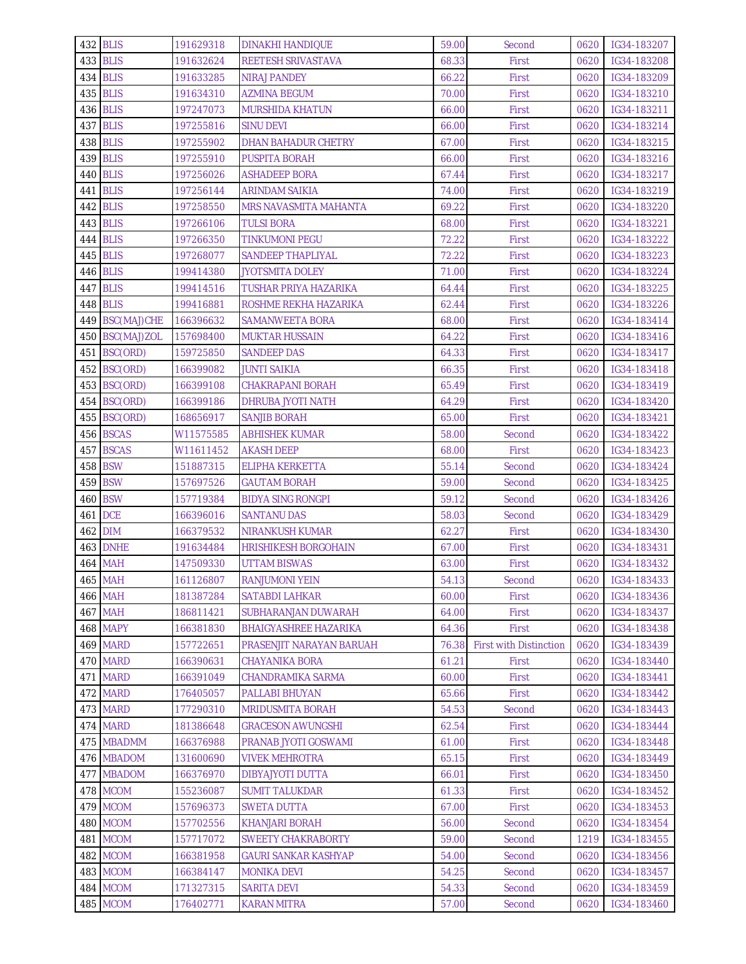| 432 BLIS        | 191629318 | <b>DINAKHI HANDIQUE</b>      | 59.00 | Second                        | 0620 | IG34-183207      |
|-----------------|-----------|------------------------------|-------|-------------------------------|------|------------------|
| 433 BLIS        | 191632624 | REETESH SRIVASTAVA           | 68.33 | First                         | 0620 | IG34-183208      |
| 434 BLIS        | 191633285 | <b>NIRAJ PANDEY</b>          | 66.22 | First                         | 0620 | IG34-183209      |
| 435 BLIS        | 191634310 | <b>AZMINA BEGUM</b>          | 70.00 | First                         | 0620 | IG34-183210      |
| 436 BLIS        | 197247073 | <b>MURSHIDA KHATUN</b>       | 66.00 | First                         | 0620 | IG34-183211      |
| 437 BLIS        | 197255816 | <b>SINU DEVI</b>             | 66.00 | First                         | 0620 | IG34-183214      |
| 438 BLIS        | 197255902 | DHAN BAHADUR CHETRY          | 67.00 | First                         | 0620 | IG34-183215      |
| 439 BLIS        | 197255910 | <b>PUSPITA BORAH</b>         | 66.00 | First                         | 0620 | IG34-183216      |
| 440 BLIS        | 197256026 | <b>ASHADEEP BORA</b>         | 67.44 | First                         | 0620 | IG34-183217      |
| 441 BLIS        | 197256144 | <b>ARINDAM SAIKIA</b>        | 74.00 | First                         | 0620 | IG34-183219      |
| 442 BLIS        | 197258550 | MRS NAVASMITA MAHANTA        | 69.22 | First                         | 0620 | IG34-183220      |
| 443 BLIS        | 197266106 | <b>TULSI BORA</b>            | 68.00 | First                         | 0620 | IG34-183221      |
| 444 BLIS        | 197266350 | <b>TINKUMONI PEGU</b>        | 72.22 | First                         | 0620 | IG34-183222      |
| 445 BLIS        | 197268077 | <b>SANDEEP THAPLIYAL</b>     | 72.22 | First                         | 0620 | IG34-183223      |
| <b>446 BLIS</b> | 199414380 | <b>JYOTSMITA DOLEY</b>       | 71.00 | First                         | 0620 | IG34-183224      |
| 447 BLIS        | 199414516 | <b>TUSHAR PRIYA HAZARIKA</b> | 64.44 | First                         | 0620 | IG34-183225      |
| 448 BLIS        | 199416881 | ROSHME REKHA HAZARIKA        | 62.44 | First                         | 0620 | IG34-183226      |
| 449 BSC(MAJ)CHE | 166396632 | <b>SAMANWEETA BORA</b>       | 68.00 | First                         | 0620 | IG34-183414      |
| 450 BSC(MAJ)ZOL | 157698400 | <b>MUKTAR HUSSAIN</b>        | 64.22 | First                         | 0620 | IG34-183416      |
| 451 BSC(ORD)    | 159725850 | <b>SANDEEP DAS</b>           | 64.33 | First                         | 0620 | IG34-183417      |
| 452 BSC(ORD)    | 166399082 | JUNTI SAIKIA                 | 66.35 | First                         | 0620 | IG34-183418      |
| 453 BSC(ORD)    | 166399108 | <b>CHAKRAPANI BORAH</b>      | 65.49 | First                         | 0620 | IG34-183419      |
| 454 BSC(ORD)    | 166399186 | DHRUBA JYOTI NATH            | 64.29 | First                         | 0620 | IG34-183420      |
| 455 BSC(ORD)    | 168656917 | <b>SANJIB BORAH</b>          | 65.00 | First                         | 0620 | IG34-183421      |
| 456 BSCAS       | W11575585 | <b>ABHISHEK KUMAR</b>        | 58.00 | Second                        | 0620 | IG34-183422      |
| 457 BSCAS       | W11611452 | <b>AKASH DEEP</b>            | 68.00 | First                         | 0620 | IG34-183423      |
| 458 BSW         | 151887315 | ELIPHA KERKETTA              | 55.14 | Second                        | 0620 | IG34-183424      |
| 459 BSW         | 157697526 | <b>GAUTAM BORAH</b>          | 59.00 | Second                        | 0620 | IG34-183425      |
| <b>460 BSW</b>  | 157719384 | <b>BIDYA SING RONGPI</b>     | 59.12 | Second                        | 0620 | IG34-183426      |
| <b>461 DCE</b>  | 166396016 | <b>SANTANU DAS</b>           | 58.03 | Second                        | 0620 | IG34-183429      |
| 462 DIM         | 166379532 | <b>NIRANKUSH KUMAR</b>       | 62.27 | First                         | 0620 | IG34-183430      |
| <b>463 DNHE</b> | 191634484 | <b>HRISHIKESH BORGOHAIN</b>  | 67.00 | First                         | 0620 | IG34-183431      |
| <b>464 MAH</b>  | 147509330 | UTTAM BISWAS                 | 63.00 | First                         | 0620 | IG34-183432      |
| 465 MAH         | 161126807 | RANJUMONI YEIN               | 54.13 | Second                        |      | 0620 IG34-183433 |
| 466 MAH         | 181387284 | SATABDI LAHKAR               | 60.00 | First                         | 0620 | IG34-183436      |
| 467 MAH         | 186811421 | SUBHARANJAN DUWARAH          | 64.00 | First                         | 0620 | IG34-183437      |
| <b>468 MAPY</b> | 166381830 | BHAIGYASHREE HAZARIKA        | 64.36 | First                         | 0620 | IG34-183438      |
| 469 MARD        | 157722651 | PRASENJIT NARAYAN BARUAH     | 76.38 | <b>First with Distinction</b> | 0620 | IG34-183439      |
| 470 MARD        | 166390631 | <b>CHAYANIKA BORA</b>        | 61.21 | First                         | 0620 | IG34-183440      |
| 471 MARD        | 166391049 | CHANDRAMIKA SARMA            | 60.00 | First                         | 0620 | IG34-183441      |
| 472 MARD        | 176405057 | <b>PALLABI BHUYAN</b>        | 65.66 | First                         | 0620 | IG34-183442      |
| 473 MARD        | 177290310 | <b>MRIDUSMITA BORAH</b>      | 54.53 | Second                        | 0620 | IG34-183443      |
| 474 MARD        | 181386648 | <b>GRACESON AWUNGSHI</b>     | 62.54 | First                         | 0620 | IG34-183444      |
| 475 MBADMM      | 166376988 | PRANAB JYOTI GOSWAMI         | 61.00 | First                         | 0620 | IG34-183448      |
| 476 MBADOM      | 131600690 | <b>VIVEK MEHROTRA</b>        | 65.15 | First                         | 0620 | IG34-183449      |
| 477 MBADOM      | 166376970 | DIBYAJYOTI DUTTA             | 66.01 | First                         | 0620 | IG34-183450      |
| 478 MCOM        | 155236087 | <b>SUMIT TALUKDAR</b>        | 61.33 | First                         | 0620 | IG34-183452      |
| 479 MCOM        | 157696373 | <b>SWETA DUTTA</b>           | 67.00 | First                         | 0620 | IG34-183453      |
| 480 MCOM        | 157702556 | <b>KHANJARI BORAH</b>        | 56.00 | Second                        | 0620 | IG34-183454      |
| 481 MCOM        | 157717072 | <b>SWEETY CHAKRABORTY</b>    | 59.00 | Second                        | 1219 | IG34-183455      |
| 482 MCOM        | 166381958 | <b>GAURI SANKAR KASHYAP</b>  | 54.00 | Second                        | 0620 | IG34-183456      |
| 483 MCOM        | 166384147 | <b>MONIKA DEVI</b>           | 54.25 | Second                        | 0620 | IG34-183457      |
| 484 MCOM        | 171327315 | <b>SARITA DEVI</b>           | 54.33 | Second                        | 0620 | IG34-183459      |
| 485 MCOM        | 176402771 | <b>KARAN MITRA</b>           | 57.00 | Second                        | 0620 | IG34-183460      |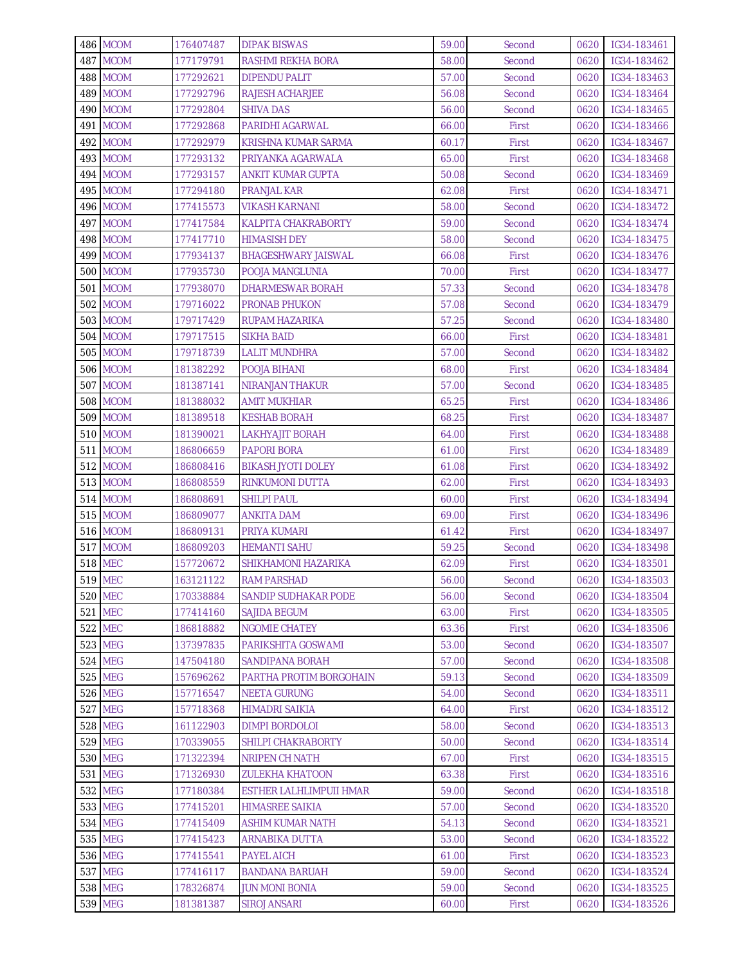|                | 486 MCOM                    | 176407487              | <b>DIPAK BISWAS</b>                        | 59.00          | Second           | 0620         | IG34-183461                |
|----------------|-----------------------------|------------------------|--------------------------------------------|----------------|------------------|--------------|----------------------------|
|                | 487 MCOM                    | 177179791              | RASHMI REKHA BORA                          | 58.00          | Second           | 0620         | IG34-183462                |
|                | 488 MCOM                    | 177292621              | <b>DIPENDU PALIT</b>                       | 57.00          | Second           | 0620         | IG34-183463                |
|                | 489 MCOM                    | 177292796              | RAJESH ACHARJEE                            | 56.08          | Second           | 0620         | IG34-183464                |
|                | 490 MCOM                    | 177292804              | SHIVA DAS                                  | 56.00          | Second           | 0620         | IG34-183465                |
|                | 491 MCOM                    | 177292868              | PARIDHI AGARWAL                            | 66.00          | First            | 0620         | IG34-183466                |
|                | 492 MCOM                    | 177292979              | KRISHNA KUMAR SARMA                        | 60.17          | First            | 0620         | IG34-183467                |
|                | 493 MCOM                    | 177293132              | PRIYANKA AGARWALA                          | 65.00          | First            | 0620         | IG34-183468                |
|                | 494 MCOM                    | 177293157              | ANKIT KUMAR GUPTA                          | 50.08          | Second           | 0620         | IG34-183469                |
|                | 495 MCOM                    | 177294180              | <b>PRANJAL KAR</b>                         | 62.08          | First            | 0620         | IG34-183471                |
|                | 496 MCOM                    | 177415573              | <b>VIKASH KARNANI</b>                      | 58.00          | Second           | 0620         | IG34-183472                |
|                | 497 MCOM                    | 177417584              | <b>KALPITA CHAKRABORTY</b>                 | 59.00          | Second           | 0620         | IG34-183474                |
|                | 498 MCOM                    | 177417710              | <b>HIMASISH DEY</b>                        | 58.00          | Second           | 0620         | IG34-183475                |
|                | 499 MCOM                    | 177934137              | <b>BHAGESHWARY JAISWAL</b>                 | 66.08          | First            | 0620         | IG34-183476                |
|                | <b>500 MCOM</b>             | 177935730              | POOJA MANGLUNIA                            | 70.00          | First            | 0620         | IG34-183477                |
|                | <b>501 MCOM</b>             | 177938070              | DHARMESWAR BORAH                           | 57.33          | Second           | 0620         | IG34-183478                |
|                | <b>502 MCOM</b>             | 179716022              | <b>PRONAB PHUKON</b>                       | 57.08          | Second           | 0620         | IG34-183479                |
|                | <b>503 MCOM</b>             | 179717429              | RUPAM HAZARIKA                             | 57.25          | Second           | 0620         | IG34-183480                |
|                | <b>504 MCOM</b>             | 179717515              | <b>SIKHA BAID</b>                          | 66.00          | First            | 0620         | IG34-183481                |
|                | <b>505 MCOM</b>             | 179718739              | <b>LALIT MUNDHRA</b>                       | 57.00          | Second           | 0620         | IG34-183482                |
|                | <b>506 MCOM</b>             | 181382292              | POOJA BIHANI                               | 68.00          | First            | 0620         | IG34-183484                |
|                | 507 MCOM                    | 181387141              | <b>NIRANJAN THAKUR</b>                     | 57.00          | Second           | 0620         | IG34-183485                |
|                | <b>508 MCOM</b>             | 181388032              | <b>AMIT MUKHIAR</b>                        | 65.25          | First            | 0620         | IG34-183486                |
|                | <b>509 MCOM</b>             | 181389518              | <b>KESHAB BORAH</b>                        | 68.25          | First            | 0620         | IG34-183487                |
|                | <b>510 MCOM</b>             | 181390021              | <b>LAKHYAJIT BORAH</b>                     | 64.00          | First            | 0620         | IG34-183488                |
|                | 511 MCOM                    | 186806659              | <b>PAPORI BORA</b>                         | 61.00          | First            | 0620         | IG34-183489                |
|                | 512 MCOM                    | 186808416              | <b>BIKASH JYOTI DOLEY</b>                  | 61.08          | First            | 0620         | IG34-183492                |
|                | 513 MCOM                    | 186808559              | RINKUMONI DUTTA                            | 62.00          | First            | 0620         | IG34-183493                |
|                | <b>514 MCOM</b>             | 186808691              | <b>SHILPI PAUL</b>                         | 60.00          | First            | 0620         | IG34-183494                |
|                |                             |                        |                                            | 69.00          |                  |              | IG34-183496                |
|                | 515 MCOM<br><b>516 MCOM</b> | 186809077<br>186809131 | ANKITA DAM<br>PRIYA KUMARI                 | 61.42          | First<br>First   | 0620<br>0620 | IG34-183497                |
|                | 517 MCOM                    |                        |                                            | 59.25          | Second           |              | IG34-183498                |
| <b>518 MEC</b> |                             | 186809203<br>157720672 | <b>HEMANTI SAHU</b><br>SHIKHAMONI HAZARIKA | 62.09          | First            | 0620<br>0620 | IG34-183501                |
| 519 MEC        |                             |                        |                                            |                |                  |              |                            |
|                | <b>520 MEC</b>              | 163121122<br>170338884 | <b>RAM PARSHAD</b>                         | 56.00<br>56.00 | Second           |              | 0620 IG34-183503           |
|                |                             |                        | SANDIP SUDHAKAR PODE                       |                | Second           | 0620         | IG34-183504                |
|                | 521 MEC<br>522 MEC          | 177414160              | SAJIDA BEGUM<br>NGOMIE CHATEY              | 63.00<br>63.36 | First<br>First   | 0620         | IG34-183505<br>IG34-183506 |
|                | 523 MEG                     | 186818882              |                                            |                |                  | 0620         |                            |
|                | 524 MEG                     | 137397835<br>147504180 | PARIKSHITA GOSWAMI<br>SANDIPANA BORAH      | 53.00<br>57.00 | Second<br>Second | 0620<br>0620 | IG34-183507<br>IG34-183508 |
|                | 525 MEG                     | 157696262              | PARTHA PROTIM BORGOHAIN                    | 59.13          | Second           | 0620         | IG34-183509                |
|                | <b>526 MEG</b>              | 157716547              | <b>NEETA GURUNG</b>                        | 54.00          | Second           | 0620         | IG34-183511                |
|                | <b>527 MEG</b>              | 157718368              | <b>HIMADRI SAIKIA</b>                      | 64.00          | First            | 0620         | IG34-183512                |
|                | 528 MEG                     | 161122903              | <b>DIMPI BORDOLOI</b>                      | 58.00          | Second           | 0620         | IG34-183513                |
|                | 529 MEG                     | 170339055              | SHILPI CHAKRABORTY                         | 50.00          | Second           | 0620         | IG34-183514                |
|                | 530 MEG                     |                        |                                            | 67.00          |                  | 0620         |                            |
|                | 531 MEG                     | 171322394<br>171326930 | <b>NRIPEN CH NATH</b>                      | 63.38          | First<br>First   |              | IG34-183515<br>IG34-183516 |
|                | 532 MEG                     | 177180384              | ZULEKHA KHATOON<br>ESTHER LALHLIMPUII HMAR | 59.00          | Second           | 0620<br>0620 | IG34-183518                |
|                | 533 MEG                     |                        |                                            | 57.00          |                  |              |                            |
|                |                             | 177415201              | <b>HIMASREE SAIKIA</b>                     |                | Second           | 0620         | IG34-183520                |
|                | 534 MEG                     | 177415409              | ASHIM KUMAR NATH                           | 54.13          | Second           | 0620         | IG34-183521                |
|                | 535 MEG                     | 177415423              | ARNABIKA DUTTA                             | 53.00          | Second           | 0620         | IG34-183522                |
|                | 536 MEG                     | 177415541              | PAYEL AICH                                 | 61.00          | First            | 0620         | IG34-183523                |
|                | 537 MEG                     | 177416117              | <b>BANDANA BARUAH</b>                      | 59.00          | Second           | 0620         | IG34-183524                |
|                | 538 MEG                     | 178326874              | <b>JUN MONI BONIA</b>                      | 59.00          | Second           | 0620         | IG34-183525                |
|                | 539 MEG                     | 181381387              | <b>SIROJ ANSARI</b>                        | 60.00          | First            | 0620         | IG34-183526                |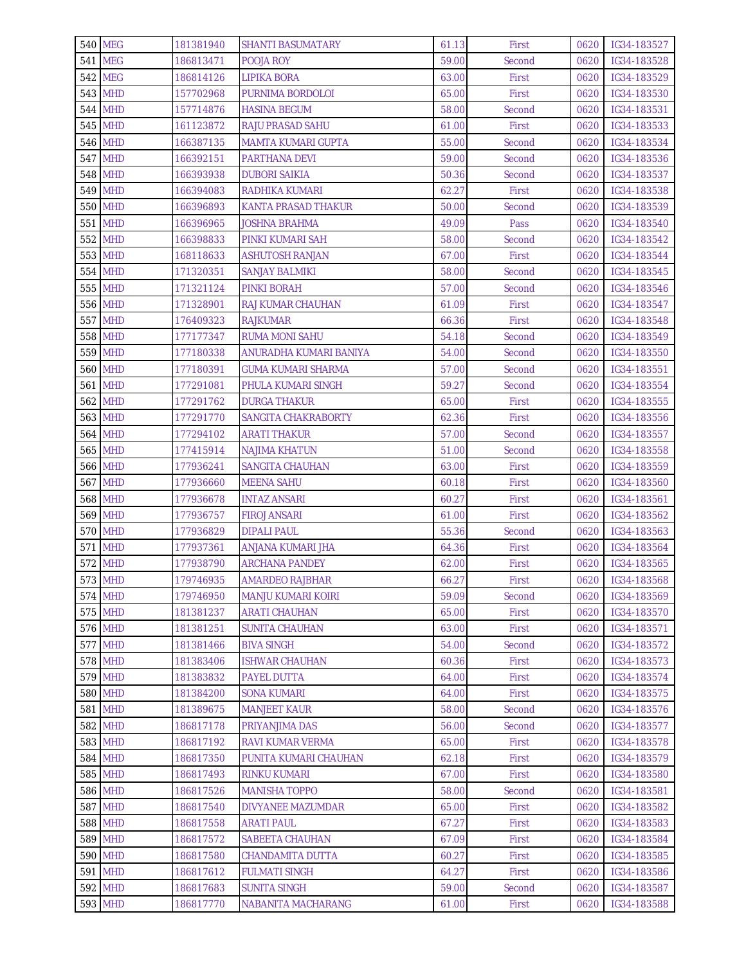| <b>540 MEG</b> | 181381940 | <b>SHANTI BASUMATARY</b>   | 61.13 | First  | 0620 | IG34-183527      |
|----------------|-----------|----------------------------|-------|--------|------|------------------|
| 541 MEG        | 186813471 | POOJA ROY                  | 59.00 | Second | 0620 | IG34-183528      |
| 542 MEG        | 186814126 | LIPIKA BORA                | 63.00 | First  | 0620 | IG34-183529      |
| 543 MHD        | 157702968 | PURNIMA BORDOLOI           | 65.00 | First  | 0620 | IG34-183530      |
| 544 MHD        | 157714876 | <b>HASINA BEGUM</b>        | 58.00 | Second | 0620 | IG34-183531      |
| 545 MHD        | 161123872 | <b>RAJU PRASAD SAHU</b>    | 61.00 | First  | 0620 | IG34-183533      |
| <b>546 MHD</b> | 166387135 | MAMTA KUMARI GUPTA         | 55.00 | Second | 0620 | IG34-183534      |
| <b>547 MHD</b> | 166392151 | PARTHANA DEVI              | 59.00 | Second | 0620 | IG34-183536      |
| <b>548 MHD</b> | 166393938 | DUBORI SAIKIA              | 50.36 | Second | 0620 | IG34-183537      |
| 549 MHD        | 166394083 | RADHIKA KUMARI             | 62.27 | First  | 0620 | IG34-183538      |
| 550 MHD        | 166396893 | <b>KANTA PRASAD THAKUR</b> | 50.00 | Second | 0620 | IG34-183539      |
| 551 MHD        | 166396965 | JOSHNA BRAHMA              | 49.09 | Pass   | 0620 | IG34-183540      |
| 552 MHD        | 166398833 | PINKI KUMARI SAH           | 58.00 | Second | 0620 | IG34-183542      |
| 553 MHD        | 168118633 | <b>ASHUTOSH RANJAN</b>     | 67.00 | First  | 0620 | IG34-183544      |
| 554 MHD        | 171320351 | <b>SANJAY BALMIKI</b>      | 58.00 | Second | 0620 | IG34-183545      |
| 555 MHD        | 171321124 | PINKI BORAH                | 57.00 | Second | 0620 | IG34-183546      |
| 556 MHD        | 171328901 | <b>RAJ KUMAR CHAUHAN</b>   | 61.09 | First  | 0620 | IG34-183547      |
| 557 MHD        | 176409323 | <b>RAJKUMAR</b>            | 66.36 | First  | 0620 | IG34-183548      |
| 558 MHD        | 177177347 | <b>RUMA MONI SAHU</b>      | 54.18 | Second | 0620 | IG34-183549      |
| 559 MHD        | 177180338 | ANURADHA KUMARI BANIYA     | 54.00 | Second | 0620 | IG34-183550      |
| <b>560 MHD</b> | 177180391 | <b>GUMA KUMARI SHARMA</b>  | 57.00 | Second | 0620 | IG34-183551      |
| <b>561 MHD</b> | 177291081 | PHULA KUMARI SINGH         | 59.27 | Second | 0620 | IG34-183554      |
| 562 MHD        | 177291762 | <b>DURGA THAKUR</b>        | 65.00 | First  | 0620 | IG34-183555      |
| 563 MHD        | 177291770 | SANGITA CHAKRABORTY        | 62.36 | First  | 0620 | IG34-183556      |
| 564 MHD        | 177294102 | <b>ARATI THAKUR</b>        | 57.00 | Second | 0620 | IG34-183557      |
| <b>565 MHD</b> | 177415914 | <b>NAJIMA KHATUN</b>       | 51.00 | Second | 0620 | IG34-183558      |
| <b>566 MHD</b> | 177936241 | SANGITA CHAUHAN            | 63.00 | First  | 0620 | IG34-183559      |
| <b>567 MHD</b> | 177936660 | <b>MEENA SAHU</b>          | 60.18 | First  | 0620 | IG34-183560      |
| 568 MHD        | 177936678 | <b>INTAZ ANSARI</b>        | 60.27 | First  | 0620 | IG34-183561      |
| 569 MHD        | 177936757 | <b>FIROJ ANSARI</b>        | 61.00 | First  | 0620 | IG34-183562      |
| 570 MHD        | 177936829 | <b>DIPALI PAUL</b>         | 55.36 | Second | 0620 | IG34-183563      |
| 571 MHD        | 177937361 | ANJANA KUMARI JHA          | 64.36 | First  | 0620 | IG34-183564      |
| 572 MHD        | 177938790 | <b>ARCHANA PANDEY</b>      | 62.00 | First  | 0620 | IG34-183565      |
| 573 MHD        | 179746935 | AMARDEO RAJBHAR            | 66.27 | First  |      | 0620 IG34-183568 |
| 574 MHD        | 179746950 | MANJU KUMARI KOIRI         | 59.09 | Second | 0620 | IG34-183569      |
| 575 MHD        | 181381237 | ARATI CHAUHAN              | 65.00 | First  | 0620 | IG34-183570      |
| 576 MHD        | 181381251 | SUNITA CHAUHAN             | 63.00 | First  | 0620 | IG34-183571      |
| 577 MHD        | 181381466 | <b>BIVA SINGH</b>          | 54.00 | Second | 0620 | IG34-183572      |
| 578 MHD        | 181383406 | <b>ISHWAR CHAUHAN</b>      | 60.36 | First  | 0620 | IG34-183573      |
| 579 MHD        | 181383832 | PAYEL DUTTA                | 64.00 | First  | 0620 | IG34-183574      |
| <b>580 MHD</b> | 181384200 | <b>SONA KUMARI</b>         | 64.00 | First  | 0620 | IG34-183575      |
| 581 MHD        | 181389675 | <b>MANJEET KAUR</b>        | 58.00 | Second | 0620 | IG34-183576      |
| 582 MHD        | 186817178 | PRIYANJIMA DAS             | 56.00 | Second | 0620 | IG34-183577      |
| 583 MHD        | 186817192 | RAVI KUMAR VERMA           | 65.00 | First  | 0620 | IG34-183578      |
| 584 MHD        | 186817350 | PUNITA KUMARI CHAUHAN      | 62.18 | First  | 0620 | IG34-183579      |
| 585 MHD        | 186817493 | RINKU KUMARI               | 67.00 | First  | 0620 | IG34-183580      |
| 586 MHD        | 186817526 | <b>MANISHA TOPPO</b>       | 58.00 | Second | 0620 | IG34-183581      |
| <b>587 MHD</b> | 186817540 | <b>DIVYANEE MAZUMDAR</b>   | 65.00 | First  | 0620 | IG34-183582      |
| <b>588 MHD</b> | 186817558 | <b>ARATI PAUL</b>          | 67.27 | First  | 0620 | IG34-183583      |
| 589 MHD        | 186817572 | SABEETA CHAUHAN            | 67.09 | First  | 0620 | IG34-183584      |
| 590 MHD        | 186817580 | CHANDAMITA DUTTA           | 60.27 | First  | 0620 | IG34-183585      |
| 591 MHD        | 186817612 | <b>FULMATI SINGH</b>       | 64.27 | First  | 0620 | IG34-183586      |
| 592 MHD        | 186817683 | <b>SUNITA SINGH</b>        | 59.00 | Second | 0620 | IG34-183587      |
| 593 MHD        | 186817770 | NABANITA MACHARANG         | 61.00 | First  | 0620 | IG34-183588      |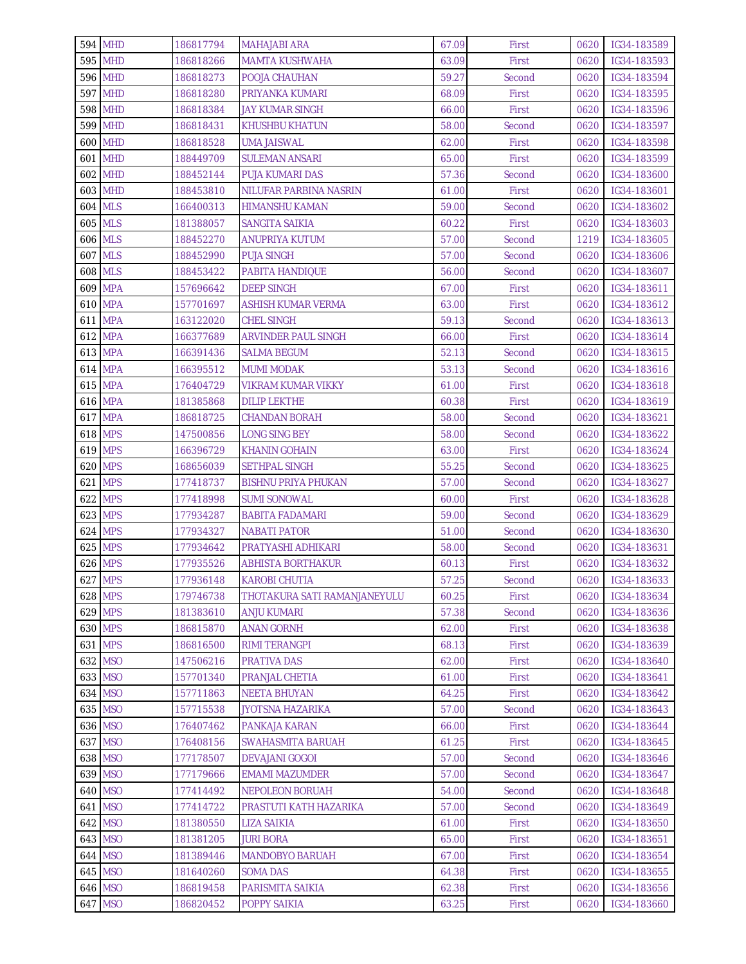| 594 MHD        | 186817794 | <b>MAHAJABI ARA</b>          | 67.09 | First  | 0620 | IG34-183589      |
|----------------|-----------|------------------------------|-------|--------|------|------------------|
| 595 MHD        | 186818266 | <b>MAMTA KUSHWAHA</b>        | 63.09 | First  | 0620 | IG34-183593      |
| <b>596 MHD</b> | 186818273 | POOJA CHAUHAN                | 59.27 | Second | 0620 | IG34-183594      |
| 597 MHD        | 186818280 | PRIYANKA KUMARI              | 68.09 | First  | 0620 | IG34-183595      |
| <b>598 MHD</b> | 186818384 | JAY KUMAR SINGH              | 66.00 | First  | 0620 | IG34-183596      |
| 599 MHD        | 186818431 | <b>KHUSHBU KHATUN</b>        | 58.00 | Second | 0620 | IG34-183597      |
| 600 MHD        | 186818528 | <b>UMA JAISWAL</b>           | 62.00 | First  | 0620 | IG34-183598      |
| 601 MHD        | 188449709 | <b>SULEMAN ANSARI</b>        | 65.00 | First  | 0620 | IG34-183599      |
| 602 MHD        | 188452144 | PUJA KUMARI DAS              | 57.36 | Second | 0620 | IG34-183600      |
| 603 MHD        | 188453810 | NILUFAR PARBINA NASRIN       | 61.00 | First  | 0620 | IG34-183601      |
| <b>604 MLS</b> | 166400313 | <b>HIMANSHU KAMAN</b>        | 59.00 | Second | 0620 | IG34-183602      |
| <b>605 MLS</b> | 181388057 | SANGITA SAIKIA               | 60.22 | First  | 0620 | IG34-183603      |
| <b>606 MLS</b> | 188452270 | ANUPRIYA KUTUM               | 57.00 | Second | 1219 | IG34-183605      |
| <b>607 MLS</b> | 188452990 | <b>PUJA SINGH</b>            | 57.00 | Second | 0620 | IG34-183606      |
| <b>608 MLS</b> | 188453422 | PABITA HANDIQUE              | 56.00 | Second | 0620 | IG34-183607      |
| 609 MPA        | 157696642 | <b>DEEP SINGH</b>            | 67.00 | First  | 0620 | IG34-183611      |
| <b>610 MPA</b> | 157701697 | <b>ASHISH KUMAR VERMA</b>    | 63.00 | First  | 0620 | IG34-183612      |
| 611 MPA        | 163122020 | <b>CHEL SINGH</b>            | 59.13 | Second | 0620 | IG34-183613      |
| 612 MPA        | 166377689 | <b>ARVINDER PAUL SINGH</b>   | 66.00 | First  | 0620 | IG34-183614      |
| 613 MPA        | 166391436 | <b>SALMA BEGUM</b>           | 52.13 | Second | 0620 | IG34-183615      |
| 614 MPA        | 166395512 | <b>MUMI MODAK</b>            | 53.13 | Second | 0620 | IG34-183616      |
| 615 MPA        | 176404729 | VIKRAM KUMAR VIKKY           | 61.00 | First  | 0620 | IG34-183618      |
| <b>616 MPA</b> | 181385868 | <b>DILIP LEKTHE</b>          | 60.38 | First  | 0620 | IG34-183619      |
| <b>617 MPA</b> | 186818725 | <b>CHANDAN BORAH</b>         | 58.00 | Second | 0620 | IG34-183621      |
| <b>618 MPS</b> | 147500856 | <b>LONG SING BEY</b>         | 58.00 | Second | 0620 | IG34-183622      |
| 619 MPS        | 166396729 | KHANIN GOHAIN                | 63.00 | First  | 0620 | IG34-183624      |
| <b>620 MPS</b> | 168656039 | <b>SETHPAL SINGH</b>         | 55.25 | Second | 0620 | IG34-183625      |
| 621 MPS        | 177418737 | <b>BISHNU PRIYA PHUKAN</b>   | 57.00 | Second | 0620 | IG34-183627      |
| 622 MPS        | 177418998 | <b>SUMI SONOWAL</b>          | 60.00 | First  | 0620 | IG34-183628      |
| 623 MPS        | 177934287 | BABITA FADAMARI              | 59.00 | Second | 0620 | IG34-183629      |
| 624 MPS        | 177934327 | <b>NABATI PATOR</b>          | 51.00 | Second | 0620 | IG34-183630      |
| 625 MPS        | 177934642 | PRATYASHI ADHIKARI           | 58.00 | Second | 0620 | IG34-183631      |
| 626 MPS        | 177935526 | <b>ABHISTA BORTHAKUR</b>     | 60.13 | First  | 0620 | IG34-183632      |
| 627 MPS        | 177936148 | <b>KAROBI CHUTIA</b>         | 57.25 | Second |      | 0620 IG34-183633 |
| 628 MPS        | 179746738 | THOTAKURA SATI RAMANJANEYULU | 60.25 | First  | 0620 | IG34-183634      |
| 629 MPS        | 181383610 | ANJU KUMARI                  | 57.38 | Second | 0620 | IG34-183636      |
| 630 MPS        | 186815870 | ANAN GORNH                   | 62.00 | First  | 0620 | IG34-183638      |
| 631 MPS        | 186816500 | <b>RIMI TERANGPI</b>         | 68.13 | First  | 0620 | IG34-183639      |
| 632 MSO        | 147506216 | PRATIVA DAS                  | 62.00 | First  | 0620 | IG34-183640      |
| 633 MSO        | 157701340 | PRANJAL CHETIA               | 61.00 | First  | 0620 | IG34-183641      |
| 634 MSO        | 157711863 | <b>NEETA BHUYAN</b>          | 64.25 | First  | 0620 | IG34-183642      |
| 635 MSO        | 157715538 | JYOTSNA HAZARIKA             | 57.00 | Second | 0620 | IG34-183643      |
| 636 MSO        | 176407462 | PANKAJA KARAN                | 66.00 | First  | 0620 | IG34-183644      |
| 637 MSO        | 176408156 | SWAHASMITA BARUAH            | 61.25 | First  | 0620 | IG34-183645      |
| 638 MSO        | 177178507 | <b>DEVAJANI GOGOI</b>        | 57.00 | Second | 0620 | IG34-183646      |
| 639 MSO        | 177179666 | EMAMI MAZUMDER               | 57.00 | Second | 0620 | IG34-183647      |
| 640 MSO        | 177414492 | <b>NEPOLEON BORUAH</b>       | 54.00 | Second | 0620 | IG34-183648      |
| 641 MSO        | 177414722 | PRASTUTI KATH HAZARIKA       | 57.00 | Second | 0620 | IG34-183649      |
| 642 MSO        | 181380550 | LIZA SAIKIA                  | 61.00 | First  | 0620 | IG34-183650      |
| 643 MSO        | 181381205 | <b>JURI BORA</b>             | 65.00 | First  | 0620 | IG34-183651      |
| 644 MSO        | 181389446 | <b>MANDOBYO BARUAH</b>       | 67.00 | First  | 0620 | IG34-183654      |
| 645 MSO        | 181640260 | <b>SOMA DAS</b>              | 64.38 | First  | 0620 | IG34-183655      |
| 646 MSO        | 186819458 | PARISMITA SAIKIA             | 62.38 | First  | 0620 | IG34-183656      |
| 647 MSO        | 186820452 | POPPY SAIKIA                 | 63.25 | First  | 0620 | IG34-183660      |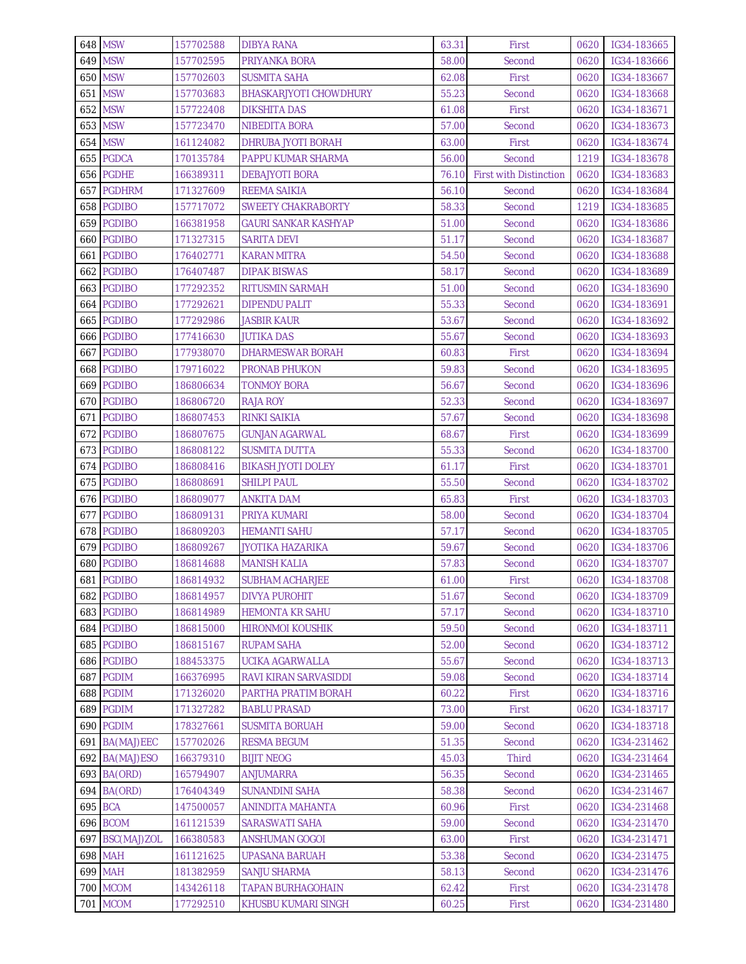| 648 MSW            | 157702588              | <b>DIBYA RANA</b>                     | 63.31          | First                         | 0620         | IG34-183665                |
|--------------------|------------------------|---------------------------------------|----------------|-------------------------------|--------------|----------------------------|
| 649 MSW            | 157702595              | PRIYANKA BORA                         | 58.00          | Second                        | 0620         | IG34-183666                |
| 650 MSW            | 157702603              | <b>SUSMITA SAHA</b>                   | 62.08          | First                         | 0620         | IG34-183667                |
| 651 MSW            | 157703683              | <b>BHASKARJYOTI CHOWDHURY</b>         | 55.23          | Second                        | 0620         | IG34-183668                |
| 652 MSW            | 157722408              | DIKSHITA DAS                          | 61.08          | First                         | 0620         | IG34-183671                |
| 653 MSW            | 157723470              | NIBEDITA BORA                         | 57.00          | Second                        | 0620         | IG34-183673                |
| 654 MSW            | 161124082              | DHRUBA JYOTI BORAH                    | 63.00          | First                         | 0620         | IG34-183674                |
| 655 PGDCA          | 170135784              | PAPPU KUMAR SHARMA                    | 56.00          | Second                        | 1219         | IG34-183678                |
| 656 PGDHE          | 166389311              | <b>DEBAJYOTI BORA</b>                 | 76.10          | <b>First with Distinction</b> | 0620         | IG34-183683                |
| 657 PGDHRM         | 171327609              | <b>REEMA SAIKIA</b>                   | 56.10          | Second                        | 0620         | IG34-183684                |
| 658 PGDIBO         | 157717072              | <b>SWEETY CHAKRABORTY</b>             | 58.33          | Second                        | 1219         | IG34-183685                |
| 659 PGDIBO         | 166381958              | <b>GAURI SANKAR KASHYAP</b>           | 51.00          | Second                        | 0620         | IG34-183686                |
| 660 PGDIBO         | 171327315              | <b>SARITA DEVI</b>                    | 51.17          | Second                        | 0620         | IG34-183687                |
| PGDIBO<br>661      | 176402771              | KARAN MITRA                           | 54.50          | Second                        | 0620         | IG34-183688                |
| 662 PGDIBO         | 176407487              | <b>DIPAK BISWAS</b>                   | 58.17          | Second                        | 0620         | IG34-183689                |
| 663 PGDIBO         | 177292352              | <b>RITUSMIN SARMAH</b>                | 51.00          | Second                        | 0620         | IG34-183690                |
| 664 PGDIBO         | 177292621              | <b>DIPENDU PALIT</b>                  | 55.33          | Second                        | 0620         | IG34-183691                |
| 665 PGDIBO         | 177292986              | JASBIR KAUR                           | 53.67          | Second                        | 0620         | IG34-183692                |
| 666 PGDIBO         | 177416630              | <b>JUTIKA DAS</b>                     | 55.67          | Second                        | 0620         | IG34-183693                |
| 667 PGDIBO         | 177938070              | DHARMESWAR BORAH                      | 60.83          | First                         | 0620         | IG34-183694                |
| 668 PGDIBO         | 179716022              | <b>PRONAB PHUKON</b>                  | 59.83          | Second                        | 0620         | IG34-183695                |
| 669 PGDIBO         | 186806634              | TONMOY BORA                           | 56.67          | Second                        | 0620         | IG34-183696                |
| 670 PGDIBO         | 186806720              | RAJA ROY                              | 52.33          | Second                        | 0620         | IG34-183697                |
| 671 PGDIBO         | 186807453              | RINKI SAIKIA                          | 57.67          | Second                        | 0620         | IG34-183698                |
| 672 PGDIBO         | 186807675              | <b>GUNJAN AGARWAL</b>                 | 68.67          | First                         | 0620         | IG34-183699                |
| 673 PGDIBO         | 186808122              | <b>SUSMITA DUTTA</b>                  | 55.33          | Second                        | 0620         | IG34-183700                |
| 674 PGDIBO         | 186808416              | <b>BIKASH JYOTI DOLEY</b>             | 61.17          | First                         | 0620         | IG34-183701                |
| 675 PGDIBO         | 186808691              | <b>SHILPI PAUL</b>                    | 55.50          | Second                        | 0620         | IG34-183702                |
| 676 PGDIBO         | 186809077              | <b>ANKITA DAM</b>                     | 65.83          | First                         | 0620         | IG34-183703                |
| 677 PGDIBO         | 186809131              | PRIYA KUMARI                          | 58.00          | Second                        | 0620         | IG34-183704                |
| 678 PGDIBO         | 186809203              | <b>HEMANTI SAHU</b>                   | 57.17          | Second                        | 0620         | IG34-183705                |
| 679 PGDIBO         | 186809267              | JYOTIKA HAZARIKA                      | 59.67          | Second                        | 0620         | IG34-183706                |
| 680 PGDIBO         | 186814688              | <b>MANISH KALIA</b>                   | 57.83          | Second                        | 0620         | IG34-183707                |
| 681 PGDIBO         | 186814932              | <b>SUBHAM ACHARJEE</b>                | 61.00          | First                         |              | 0620 IG34-183708           |
| 682 PGDIBO         | 186814957              | <b>DIVYA PUROHIT</b>                  | 51.67          | Second                        | 0620         | IG34-183709                |
| 683 PGDIBO         | 186814989              | <b>HEMONTA KR SAHU</b>                | 57.17          | Second                        | 0620         | IG34-183710                |
| 684 PGDIBO         | 186815000              | <b>HIRONMOI KOUSHIK</b>               | 59.50          | Second                        | 0620         | IG34-183711                |
| 685 PGDIBO         | 186815167              | <b>RUPAM SAHA</b>                     | 52.00          | Second                        | 0620         | IG34-183712                |
| 686 PGDIBO         | 188453375              | UCIKA AGARWALLA                       | 55.67          | Second                        | 0620         | IG34-183713                |
| 687 PGDIM          | 166376995              | RAVI KIRAN SARVASIDDI                 | 59.08          | Second                        | 0620         | IG34-183714                |
| 688 PGDIM          | 171326020              | PARTHA PRATIM BORAH                   | 60.22          | First                         | 0620         | IG34-183716                |
| 689 PGDIM          | 171327282              | <b>BABLU PRASAD</b>                   | 73.00          | First                         | 0620         | IG34-183717                |
| 690 PGDIM          | 178327661              | <b>SUSMITA BORUAH</b>                 | 59.00          | Second                        | 0620         | IG34-183718                |
| 691 BA(MAJ)EEC     | 157702026              | <b>RESMA BEGUM</b>                    | 51.35          | Second                        | 0620         | IG34-231462                |
| 692 BA(MAJ)ESO     | 166379310              | <b>BIJIT NEOG</b>                     | 45.03          | <b>Third</b>                  | 0620         | IG34-231464                |
| 693 BA(ORD)        | 165794907              | ANJUMARRA                             | 56.35          | Second                        | 0620         | IG34-231465                |
| 694 BA(ORD)        | 176404349              | <b>SUNANDINI SAHA</b>                 | 58.38          | Second                        | 0620         | IG34-231467                |
| 695 BCA            | 147500057              | ANINDITA MAHANTA                      | 60.96          | First                         | 0620         | IG34-231468                |
| 696 BCOM           | 161121539              | SARASWATI SAHA                        | 59.00          | Second                        | 0620         | IG34-231470                |
| 697 BSC(MAJ)ZOL    | 166380583              | <b>ANSHUMAN GOGOI</b>                 | 63.00          | First                         | 0620         | IG34-231471                |
| 698 MAH<br>699 MAH | 161121625<br>181382959 | UPASANA BARUAH<br><b>SANJU SHARMA</b> | 53.38<br>58.13 | Second<br>Second              | 0620<br>0620 | IG34-231475<br>IG34-231476 |
|                    |                        |                                       |                |                               |              |                            |
| <b>700 MCOM</b>    | 143426118              | TAPAN BURHAGOHAIN                     | 62.42          | First                         | 0620         | IG34-231478                |
| <b>701 MCOM</b>    | 177292510              | KHUSBU KUMARI SINGH                   | 60.25          | First                         | 0620         | IG34-231480                |